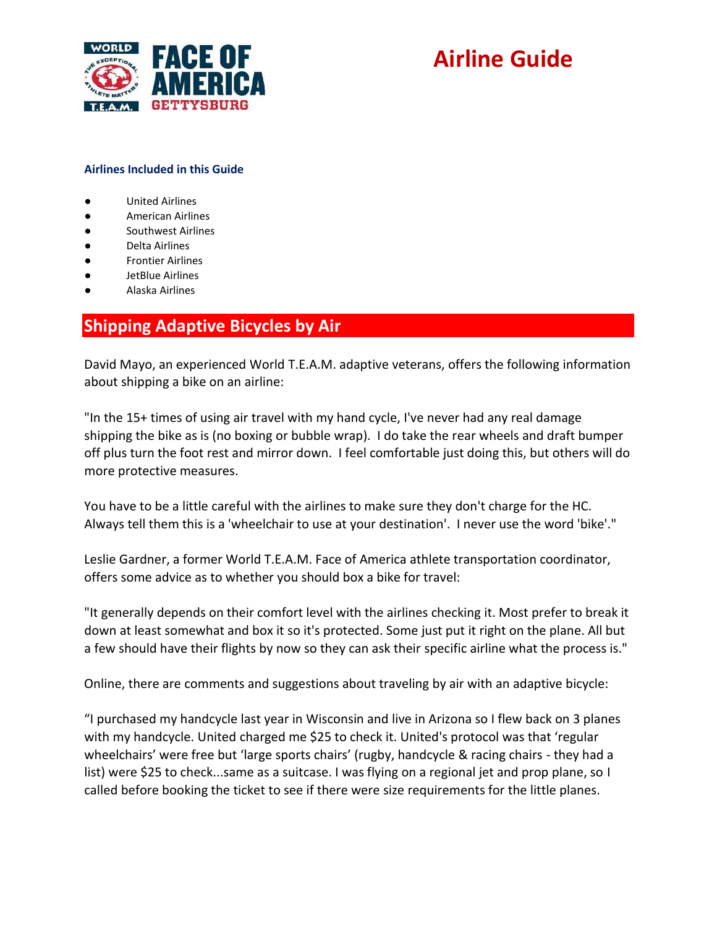

#### **Airlines Included in this Guide**

- United Airlines
- American Airlines
- Southwest Airlines
- Delta Airlines
- **Frontier Airlines**
- JetBlue Airlines
- Alaska Airlines

### **Shipping Adaptive Bicycles by Air**

David Mayo, an experienced World T.E.A.M. adaptive veterans, offers the following information about shipping a bike on an airline:

"In the 15+ times of using air travel with my hand cycle, I've never had any real damage shipping the bike as is (no boxing or bubble wrap). I do take the rear wheels and draft bumper off plus turn the foot rest and mirror down. I feel comfortable just doing this, but others will do more protective measures.

You have to be a little careful with the airlines to make sure they don't charge for the HC. Always tell them this is a 'wheelchair to use at your destination'. I never use the word 'bike'."

Leslie Gardner, a former World T.E.A.M. Face of America athlete transportation coordinator, offers some advice as to whether you should box a bike for travel:

"It generally depends on their comfort level with the airlines checking it. Most prefer to break it down at least somewhat and box it so it's protected. Some just put it right on the plane. All but a few should have their flights by now so they can ask their specific airline what the process is."

Online, there are comments and suggestions about traveling by air with an adaptive bicycle:

"I purchased my handcycle last year in Wisconsin and live in Arizona so I flew back on 3 planes with my handcycle. United charged me \$25 to check it. United's protocol was that 'regular wheelchairs' were free but 'large sports chairs' (rugby, handcycle & racing chairs - they had a list) were \$25 to check...same as a suitcase. I was flying on a regional jet and prop plane, so I called before booking the ticket to see if there were size requirements for the little planes.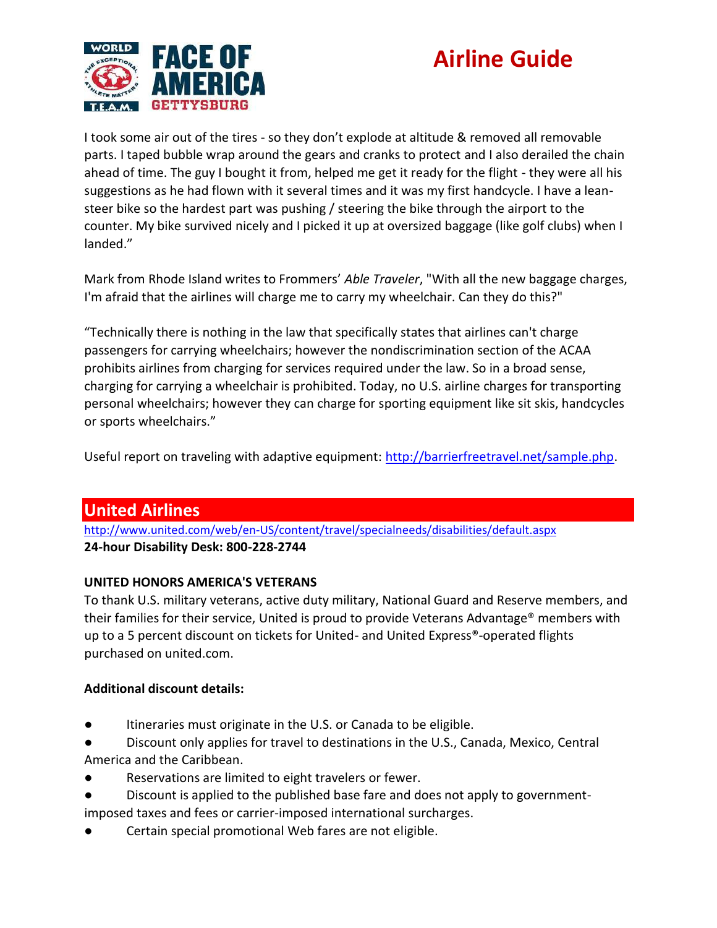

I took some air out of the tires - so they don't explode at altitude & removed all removable parts. I taped bubble wrap around the gears and cranks to protect and I also derailed the chain ahead of time. The guy I bought it from, helped me get it ready for the flight - they were all his suggestions as he had flown with it several times and it was my first handcycle. I have a leansteer bike so the hardest part was pushing / steering the bike through the airport to the counter. My bike survived nicely and I picked it up at oversized baggage (like golf clubs) when I landed."

Mark from Rhode Island writes to Frommers' *Able Traveler*, "With all the new baggage charges, I'm afraid that the airlines will charge me to carry my wheelchair. Can they do this?"

"Technically there is nothing in the law that specifically states that airlines can't charge passengers for carrying wheelchairs; however the nondiscrimination section of the ACAA prohibits airlines from charging for services required under the law. So in a broad sense, charging for carrying a wheelchair is prohibited. Today, no U.S. airline charges for transporting personal wheelchairs; however they can charge for sporting equipment like sit skis, handcycles or sports wheelchairs."

Useful report on traveling with adaptive equipment: [http://barrierfreetravel.net/sample.php.](http://barrierfreetravel.net/sample.php)

### **United Airlines**

<http://www.united.com/web/en-US/content/travel/specialneeds/disabilities/default.aspx> **24-hour Disability Desk: 800-228-2744**

### **UNITED HONORS AMERICA'S VETERANS**

To thank U.S. military veterans, active duty military, National Guard and Reserve members, and their families for their service, United is proud to provide Veterans Advantage® members with up to a 5 percent discount on tickets for United- and United Express®-operated flights purchased on united.com.

### **Additional discount details:**

- Itineraries must originate in the U.S. or Canada to be eligible.
- Discount only applies for travel to destinations in the U.S., Canada, Mexico, Central America and the Caribbean.
- Reservations are limited to eight travelers or fewer.
- Discount is applied to the published base fare and does not apply to governmentimposed taxes and fees or carrier-imposed international surcharges.
- Certain special promotional Web fares are not eligible.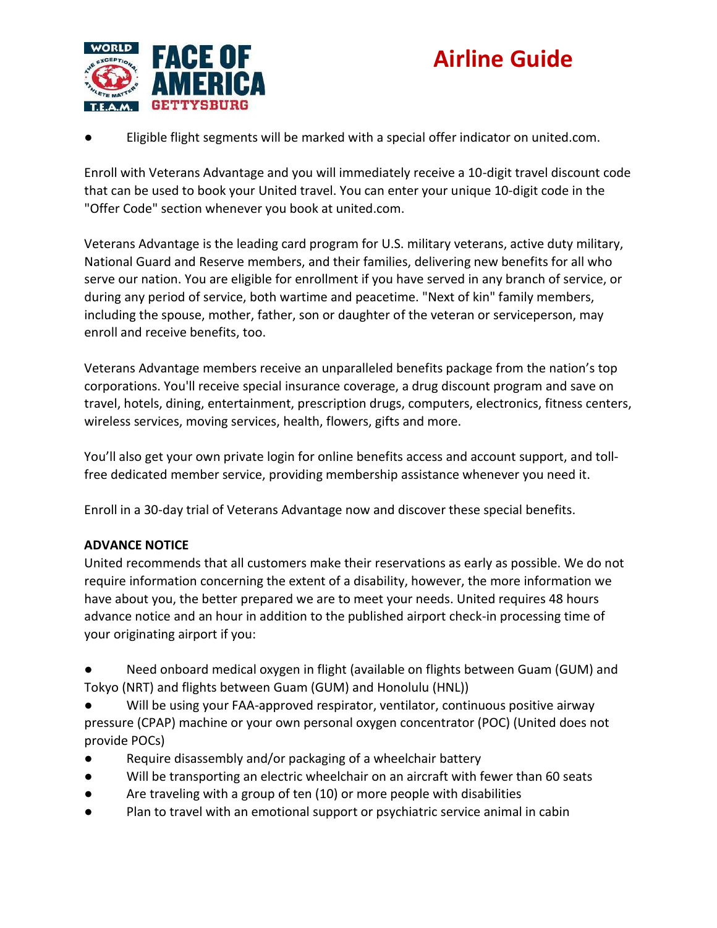



Eligible flight segments will be marked with a special offer indicator on united.com.

Enroll with Veterans Advantage and you will immediately receive a 10-digit travel discount code that can be used to book your United travel. You can enter your unique 10-digit code in the "Offer Code" section whenever you book at united.com.

Veterans Advantage is the leading card program for U.S. military veterans, active duty military, National Guard and Reserve members, and their families, delivering new benefits for all who serve our nation. You are eligible for enrollment if you have served in any branch of service, or during any period of service, both wartime and peacetime. "Next of kin" family members, including the spouse, mother, father, son or daughter of the veteran or serviceperson, may enroll and receive benefits, too.

Veterans Advantage members receive an unparalleled benefits package from the nation's top corporations. You'll receive special insurance coverage, a drug discount program and save on travel, hotels, dining, entertainment, prescription drugs, computers, electronics, fitness centers, wireless services, moving services, health, flowers, gifts and more.

You'll also get your own private login for online benefits access and account support, and tollfree dedicated member service, providing membership assistance whenever you need it.

Enroll in a 30-day trial of Veterans Advantage now and discover these special benefits.

#### **ADVANCE NOTICE**

United recommends that all customers make their reservations as early as possible. We do not require information concerning the extent of a disability, however, the more information we have about you, the better prepared we are to meet your needs. United requires 48 hours advance notice and an hour in addition to the published airport check-in processing time of your originating airport if you:

- Need onboard medical oxygen in flight (available on flights between Guam (GUM) and Tokyo (NRT) and flights between Guam (GUM) and Honolulu (HNL))
- Will be using your FAA-approved respirator, ventilator, continuous positive airway pressure (CPAP) machine or your own personal oxygen concentrator (POC) (United does not provide POCs)
- Require disassembly and/or packaging of a wheelchair battery
- Will be transporting an electric wheelchair on an aircraft with fewer than 60 seats
- Are traveling with a group of ten (10) or more people with disabilities
- Plan to travel with an emotional support or psychiatric service animal in cabin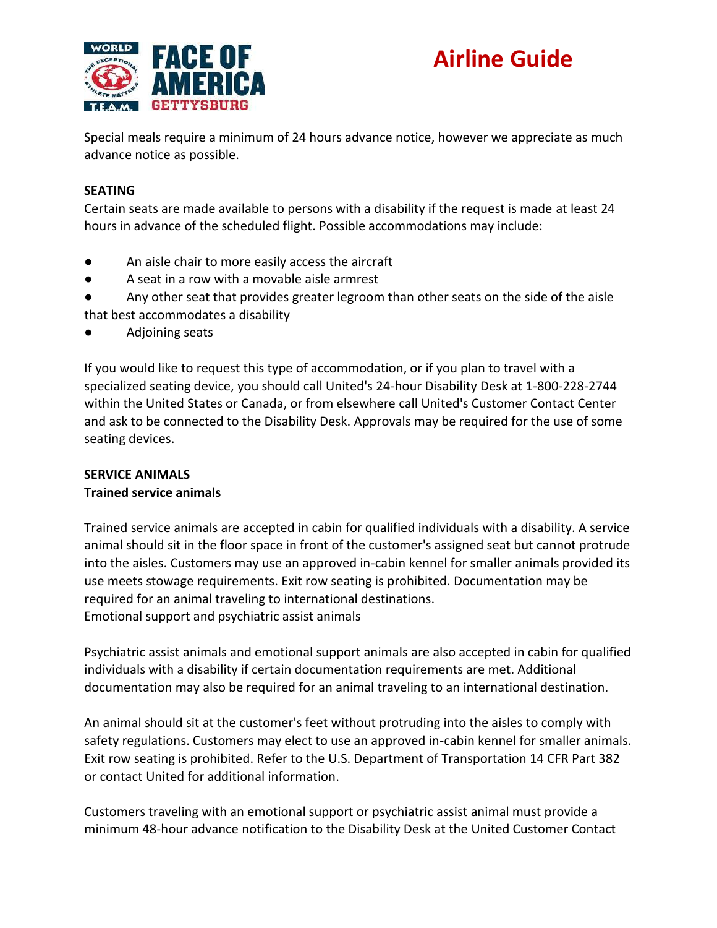

Special meals require a minimum of 24 hours advance notice, however we appreciate as much advance notice as possible.

### **SEATING**

Certain seats are made available to persons with a disability if the request is made at least 24 hours in advance of the scheduled flight. Possible accommodations may include:

- An aisle chair to more easily access the aircraft
- A seat in a row with a movable aisle armrest
- Any other seat that provides greater legroom than other seats on the side of the aisle that best accommodates a disability
- Adjoining seats

If you would like to request this type of accommodation, or if you plan to travel with a specialized seating device, you should call United's 24-hour Disability Desk at 1-800-228-2744 within the United States or Canada, or from elsewhere call United's Customer Contact Center and ask to be connected to the Disability Desk. Approvals may be required for the use of some seating devices.

#### **SERVICE ANIMALS**

#### **Trained service animals**

Trained service animals are accepted in cabin for qualified individuals with a disability. A service animal should sit in the floor space in front of the customer's assigned seat but cannot protrude into the aisles. Customers may use an approved in-cabin kennel for smaller animals provided its use meets stowage requirements. Exit row seating is prohibited. Documentation may be required for an animal traveling to international destinations. Emotional support and psychiatric assist animals

Psychiatric assist animals and emotional support animals are also accepted in cabin for qualified individuals with a disability if certain documentation requirements are met. Additional documentation may also be required for an animal traveling to an international destination.

An animal should sit at the customer's feet without protruding into the aisles to comply with safety regulations. Customers may elect to use an approved in-cabin kennel for smaller animals. Exit row seating is prohibited. Refer to the U.S. Department of Transportation 14 CFR Part 382 or contact United for additional information.

Customers traveling with an emotional support or psychiatric assist animal must provide a minimum 48-hour advance notification to the Disability Desk at the United Customer Contact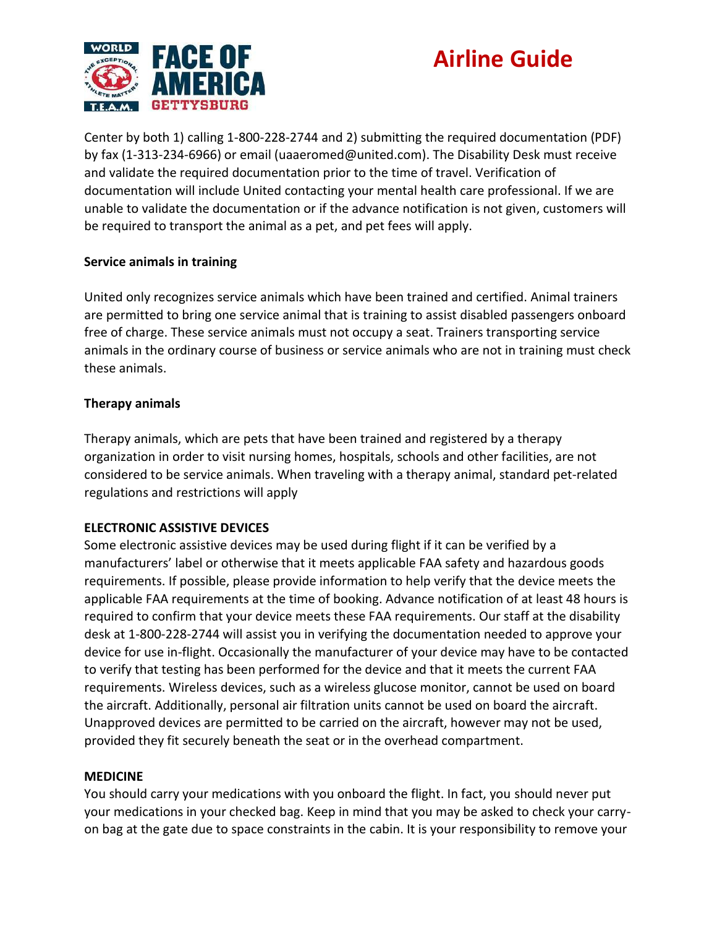

Center by both 1) calling 1-800-228-2744 and 2) submitting the required documentation (PDF) by fax (1-313-234-6966) or email (uaaeromed@united.com). The Disability Desk must receive and validate the required documentation prior to the time of travel. Verification of documentation will include United contacting your mental health care professional. If we are unable to validate the documentation or if the advance notification is not given, customers will be required to transport the animal as a pet, and pet fees will apply.

#### **Service animals in training**

United only recognizes service animals which have been trained and certified. Animal trainers are permitted to bring one service animal that is training to assist disabled passengers onboard free of charge. These service animals must not occupy a seat. Trainers transporting service animals in the ordinary course of business or service animals who are not in training must check these animals.

#### **Therapy animals**

Therapy animals, which are pets that have been trained and registered by a therapy organization in order to visit nursing homes, hospitals, schools and other facilities, are not considered to be service animals. When traveling with a therapy animal, standard pet-related regulations and restrictions will apply

### **ELECTRONIC ASSISTIVE DEVICES**

Some electronic assistive devices may be used during flight if it can be verified by a manufacturers' label or otherwise that it meets applicable FAA safety and hazardous goods requirements. If possible, please provide information to help verify that the device meets the applicable FAA requirements at the time of booking. Advance notification of at least 48 hours is required to confirm that your device meets these FAA requirements. Our staff at the disability desk at 1-800-228-2744 will assist you in verifying the documentation needed to approve your device for use in-flight. Occasionally the manufacturer of your device may have to be contacted to verify that testing has been performed for the device and that it meets the current FAA requirements. Wireless devices, such as a wireless glucose monitor, cannot be used on board the aircraft. Additionally, personal air filtration units cannot be used on board the aircraft. Unapproved devices are permitted to be carried on the aircraft, however may not be used, provided they fit securely beneath the seat or in the overhead compartment.

#### **MEDICINE**

You should carry your medications with you onboard the flight. In fact, you should never put your medications in your checked bag. Keep in mind that you may be asked to check your carryon bag at the gate due to space constraints in the cabin. It is your responsibility to remove your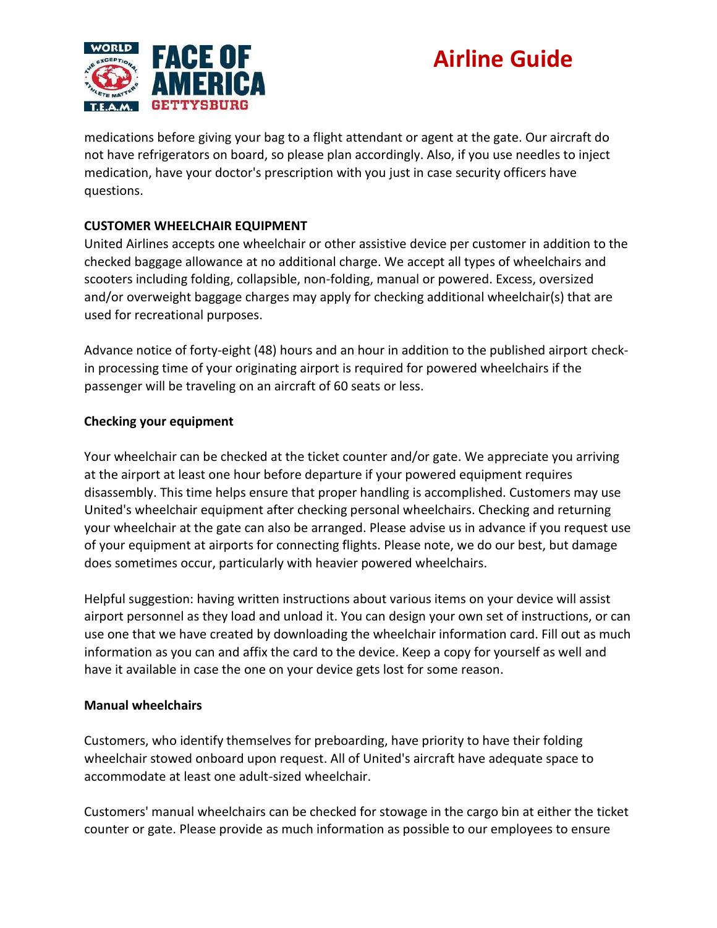

medications before giving your bag to a flight attendant or agent at the gate. Our aircraft do not have refrigerators on board, so please plan accordingly. Also, if you use needles to inject medication, have your doctor's prescription with you just in case security officers have questions.

### **CUSTOMER WHEELCHAIR EQUIPMENT**

United Airlines accepts one wheelchair or other assistive device per customer in addition to the checked baggage allowance at no additional charge. We accept all types of wheelchairs and scooters including folding, collapsible, non-folding, manual or powered. Excess, oversized and/or overweight baggage charges may apply for checking additional wheelchair(s) that are used for recreational purposes.

Advance notice of forty-eight (48) hours and an hour in addition to the published airport checkin processing time of your originating airport is required for powered wheelchairs if the passenger will be traveling on an aircraft of 60 seats or less.

### **Checking your equipment**

Your wheelchair can be checked at the ticket counter and/or gate. We appreciate you arriving at the airport at least one hour before departure if your powered equipment requires disassembly. This time helps ensure that proper handling is accomplished. Customers may use United's wheelchair equipment after checking personal wheelchairs. Checking and returning your wheelchair at the gate can also be arranged. Please advise us in advance if you request use of your equipment at airports for connecting flights. Please note, we do our best, but damage does sometimes occur, particularly with heavier powered wheelchairs.

Helpful suggestion: having written instructions about various items on your device will assist airport personnel as they load and unload it. You can design your own set of instructions, or can use one that we have created by downloading the wheelchair information card. Fill out as much information as you can and affix the card to the device. Keep a copy for yourself as well and have it available in case the one on your device gets lost for some reason.

#### **Manual wheelchairs**

Customers, who identify themselves for preboarding, have priority to have their folding wheelchair stowed onboard upon request. All of United's aircraft have adequate space to accommodate at least one adult-sized wheelchair.

Customers' manual wheelchairs can be checked for stowage in the cargo bin at either the ticket counter or gate. Please provide as much information as possible to our employees to ensure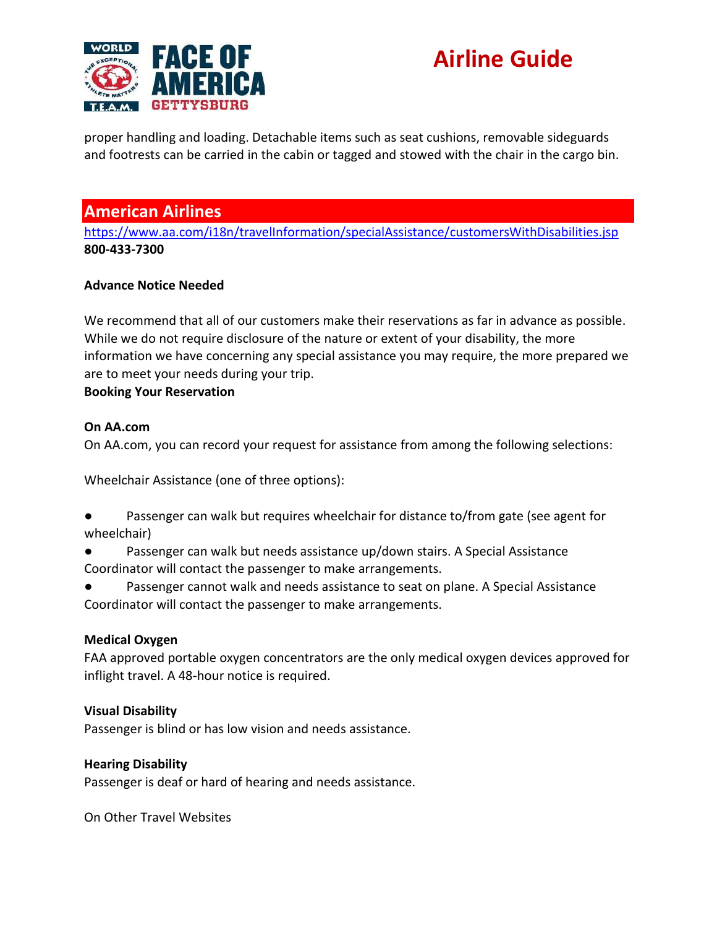

proper handling and loading. Detachable items such as seat cushions, removable sideguards and footrests can be carried in the cabin or tagged and stowed with the chair in the cargo bin.

### **American Airlines**

<https://www.aa.com/i18n/travelInformation/specialAssistance/customersWithDisabilities.jsp> **800-433-7300**

### **Advance Notice Needed**

We recommend that all of our customers make their reservations as far in advance as possible. While we do not require disclosure of the nature or extent of your disability, the more information we have concerning any special assistance you may require, the more prepared we are to meet your needs during your trip.

#### **Booking Your Reservation**

#### **On AA.com**

On AA.com, you can record your request for assistance from among the following selections:

Wheelchair Assistance (one of three options):

- Passenger can walk but requires wheelchair for distance to/from gate (see agent for wheelchair)
- Passenger can walk but needs assistance up/down stairs. A Special Assistance Coordinator will contact the passenger to make arrangements.
- Passenger cannot walk and needs assistance to seat on plane. A Special Assistance Coordinator will contact the passenger to make arrangements.

#### **Medical Oxygen**

FAA approved portable oxygen concentrators are the only medical oxygen devices approved for inflight travel. A 48-hour notice is required.

### **Visual Disability**

Passenger is blind or has low vision and needs assistance.

#### **Hearing Disability**

Passenger is deaf or hard of hearing and needs assistance.

On Other Travel Websites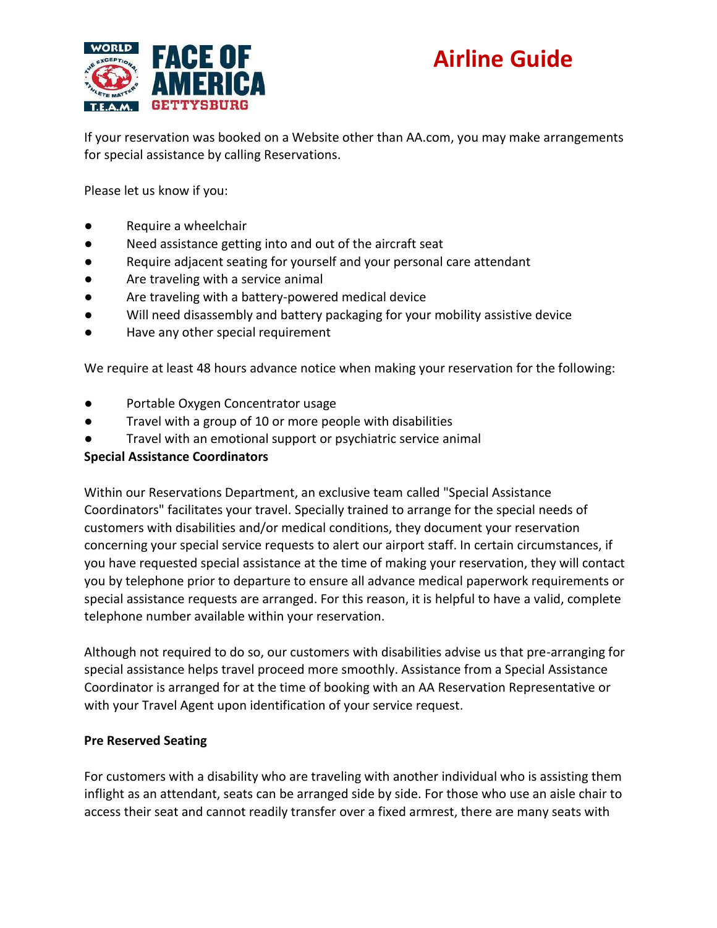

If your reservation was booked on a Website other than AA.com, you may make arrangements for special assistance by calling Reservations.

Please let us know if you:

- Require a wheelchair
- Need assistance getting into and out of the aircraft seat
- Require adjacent seating for yourself and your personal care attendant
- Are traveling with a service animal
- Are traveling with a battery-powered medical device
- Will need disassembly and battery packaging for your mobility assistive device
- Have any other special requirement

We require at least 48 hours advance notice when making your reservation for the following:

- Portable Oxygen Concentrator usage
- Travel with a group of 10 or more people with disabilities
- Travel with an emotional support or psychiatric service animal

#### **Special Assistance Coordinators**

Within our Reservations Department, an exclusive team called "Special Assistance Coordinators" facilitates your travel. Specially trained to arrange for the special needs of customers with disabilities and/or medical conditions, they document your reservation concerning your special service requests to alert our airport staff. In certain circumstances, if you have requested special assistance at the time of making your reservation, they will contact you by telephone prior to departure to ensure all advance medical paperwork requirements or special assistance requests are arranged. For this reason, it is helpful to have a valid, complete telephone number available within your reservation.

Although not required to do so, our customers with disabilities advise us that pre-arranging for special assistance helps travel proceed more smoothly. Assistance from a Special Assistance Coordinator is arranged for at the time of booking with an AA Reservation Representative or with your Travel Agent upon identification of your service request.

#### **Pre Reserved Seating**

For customers with a disability who are traveling with another individual who is assisting them inflight as an attendant, seats can be arranged side by side. For those who use an aisle chair to access their seat and cannot readily transfer over a fixed armrest, there are many seats with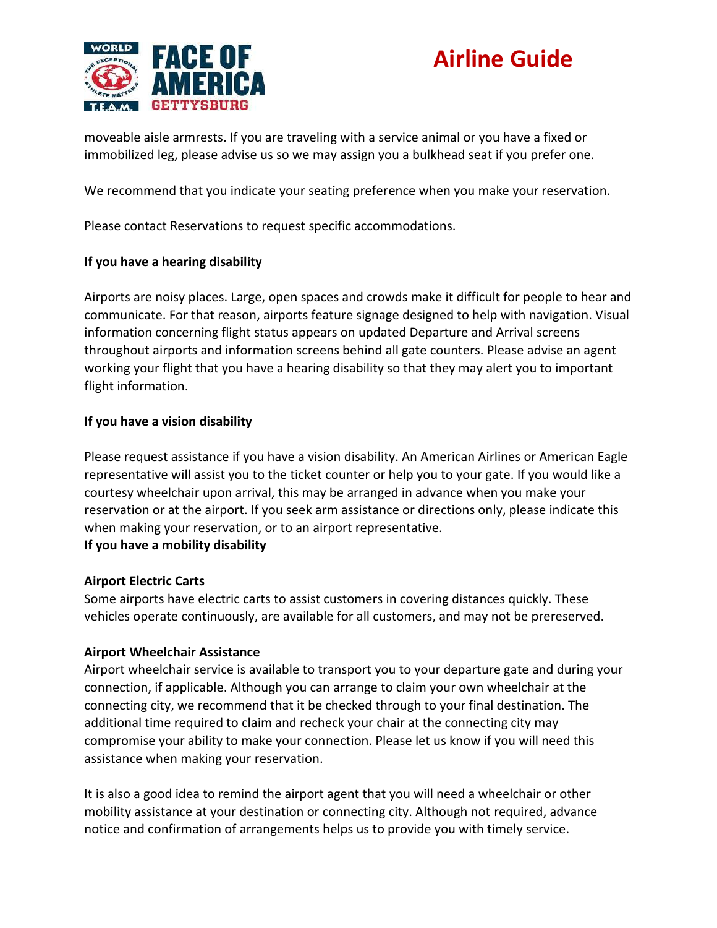

moveable aisle armrests. If you are traveling with a service animal or you have a fixed or immobilized leg, please advise us so we may assign you a bulkhead seat if you prefer one.

We recommend that you indicate your seating preference when you make your reservation.

Please contact Reservations to request specific accommodations.

### **If you have a hearing disability**

Airports are noisy places. Large, open spaces and crowds make it difficult for people to hear and communicate. For that reason, airports feature signage designed to help with navigation. Visual information concerning flight status appears on updated Departure and Arrival screens throughout airports and information screens behind all gate counters. Please advise an agent working your flight that you have a hearing disability so that they may alert you to important flight information.

#### **If you have a vision disability**

Please request assistance if you have a vision disability. An American Airlines or American Eagle representative will assist you to the ticket counter or help you to your gate. If you would like a courtesy wheelchair upon arrival, this may be arranged in advance when you make your reservation or at the airport. If you seek arm assistance or directions only, please indicate this when making your reservation, or to an airport representative. **If you have a mobility disability**

#### **Airport Electric Carts**

Some airports have electric carts to assist customers in covering distances quickly. These vehicles operate continuously, are available for all customers, and may not be prereserved.

#### **Airport Wheelchair Assistance**

Airport wheelchair service is available to transport you to your departure gate and during your connection, if applicable. Although you can arrange to claim your own wheelchair at the connecting city, we recommend that it be checked through to your final destination. The additional time required to claim and recheck your chair at the connecting city may compromise your ability to make your connection. Please let us know if you will need this assistance when making your reservation.

It is also a good idea to remind the airport agent that you will need a wheelchair or other mobility assistance at your destination or connecting city. Although not required, advance notice and confirmation of arrangements helps us to provide you with timely service.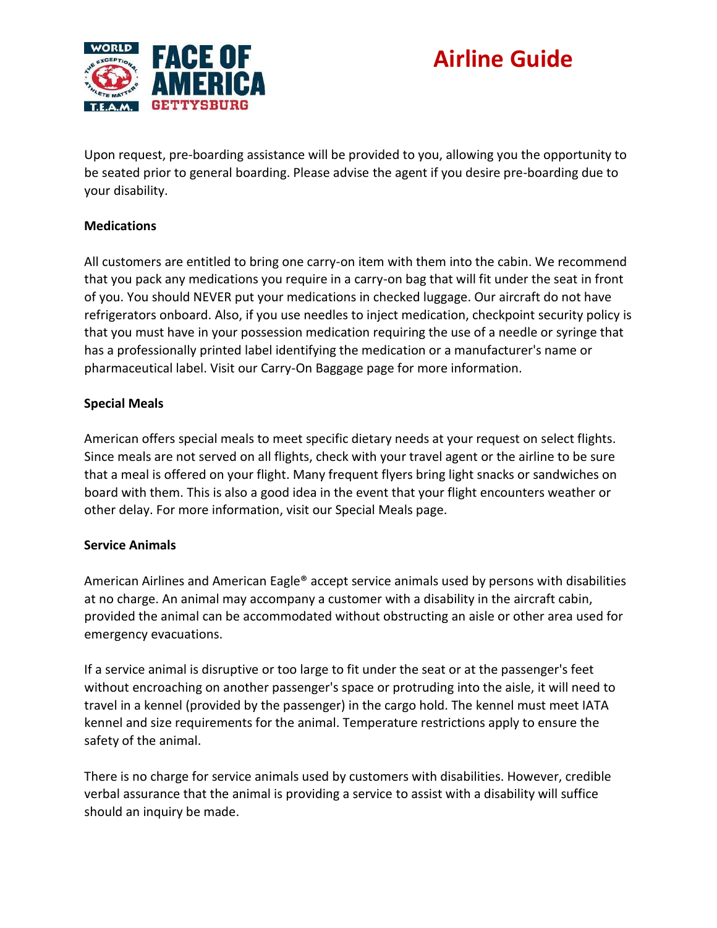

Upon request, pre-boarding assistance will be provided to you, allowing you the opportunity to be seated prior to general boarding. Please advise the agent if you desire pre-boarding due to your disability.

### **Medications**

All customers are entitled to bring one carry-on item with them into the cabin. We recommend that you pack any medications you require in a carry-on bag that will fit under the seat in front of you. You should NEVER put your medications in checked luggage. Our aircraft do not have refrigerators onboard. Also, if you use needles to inject medication, checkpoint security policy is that you must have in your possession medication requiring the use of a needle or syringe that has a professionally printed label identifying the medication or a manufacturer's name or pharmaceutical label. Visit our Carry-On Baggage page for more information.

### **Special Meals**

American offers special meals to meet specific dietary needs at your request on select flights. Since meals are not served on all flights, check with your travel agent or the airline to be sure that a meal is offered on your flight. Many frequent flyers bring light snacks or sandwiches on board with them. This is also a good idea in the event that your flight encounters weather or other delay. For more information, visit our Special Meals page.

### **Service Animals**

American Airlines and American Eagle® accept service animals used by persons with disabilities at no charge. An animal may accompany a customer with a disability in the aircraft cabin, provided the animal can be accommodated without obstructing an aisle or other area used for emergency evacuations.

If a service animal is disruptive or too large to fit under the seat or at the passenger's feet without encroaching on another passenger's space or protruding into the aisle, it will need to travel in a kennel (provided by the passenger) in the cargo hold. The kennel must meet IATA kennel and size requirements for the animal. Temperature restrictions apply to ensure the safety of the animal.

There is no charge for service animals used by customers with disabilities. However, credible verbal assurance that the animal is providing a service to assist with a disability will suffice should an inquiry be made.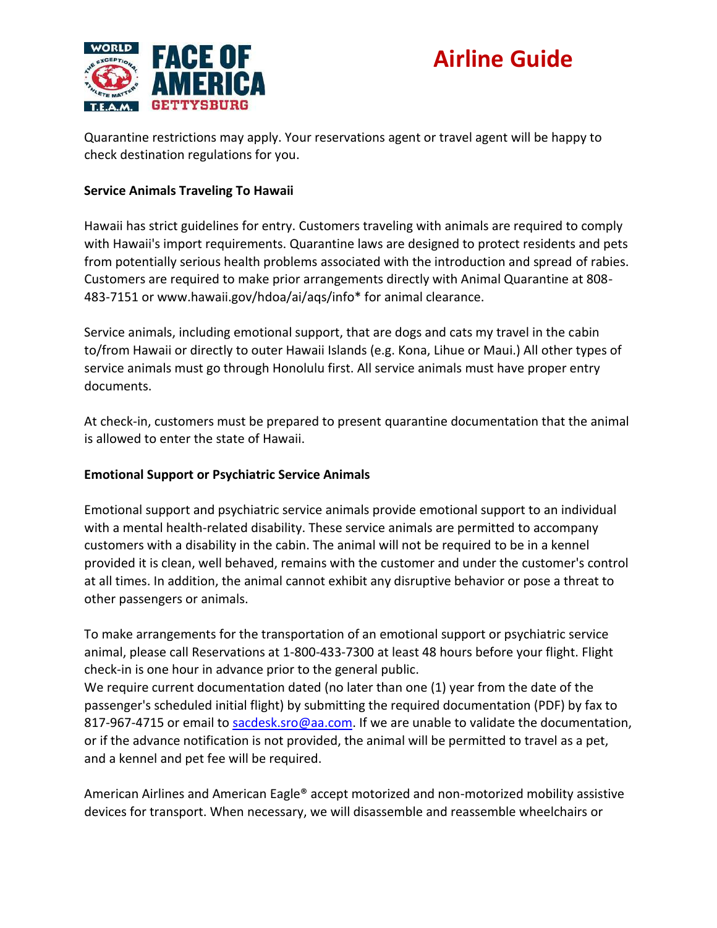

Quarantine restrictions may apply. Your reservations agent or travel agent will be happy to check destination regulations for you.

#### **Service Animals Traveling To Hawaii**

Hawaii has strict guidelines for entry. Customers traveling with animals are required to comply with Hawaii's import requirements. Quarantine laws are designed to protect residents and pets from potentially serious health problems associated with the introduction and spread of rabies. Customers are required to make prior arrangements directly with Animal Quarantine at 808- 483-7151 or www.hawaii.gov/hdoa/ai/aqs/info\* for animal clearance.

Service animals, including emotional support, that are dogs and cats my travel in the cabin to/from Hawaii or directly to outer Hawaii Islands (e.g. Kona, Lihue or Maui.) All other types of service animals must go through Honolulu first. All service animals must have proper entry documents.

At check-in, customers must be prepared to present quarantine documentation that the animal is allowed to enter the state of Hawaii.

#### **Emotional Support or Psychiatric Service Animals**

Emotional support and psychiatric service animals provide emotional support to an individual with a mental health-related disability. These service animals are permitted to accompany customers with a disability in the cabin. The animal will not be required to be in a kennel provided it is clean, well behaved, remains with the customer and under the customer's control at all times. In addition, the animal cannot exhibit any disruptive behavior or pose a threat to other passengers or animals.

To make arrangements for the transportation of an emotional support or psychiatric service animal, please call Reservations at 1-800-433-7300 at least 48 hours before your flight. Flight check-in is one hour in advance prior to the general public.

We require current documentation dated (no later than one (1) year from the date of the passenger's scheduled initial flight) by submitting the required documentation (PDF) by fax to 817-967-4715 or email to [sacdesk.sro@aa.com.](mailto:sacdesk.sro@aa.com) If we are unable to validate the documentation, or if the advance notification is not provided, the animal will be permitted to travel as a pet, and a kennel and pet fee will be required.

American Airlines and American Eagle® accept motorized and non-motorized mobility assistive devices for transport. When necessary, we will disassemble and reassemble wheelchairs or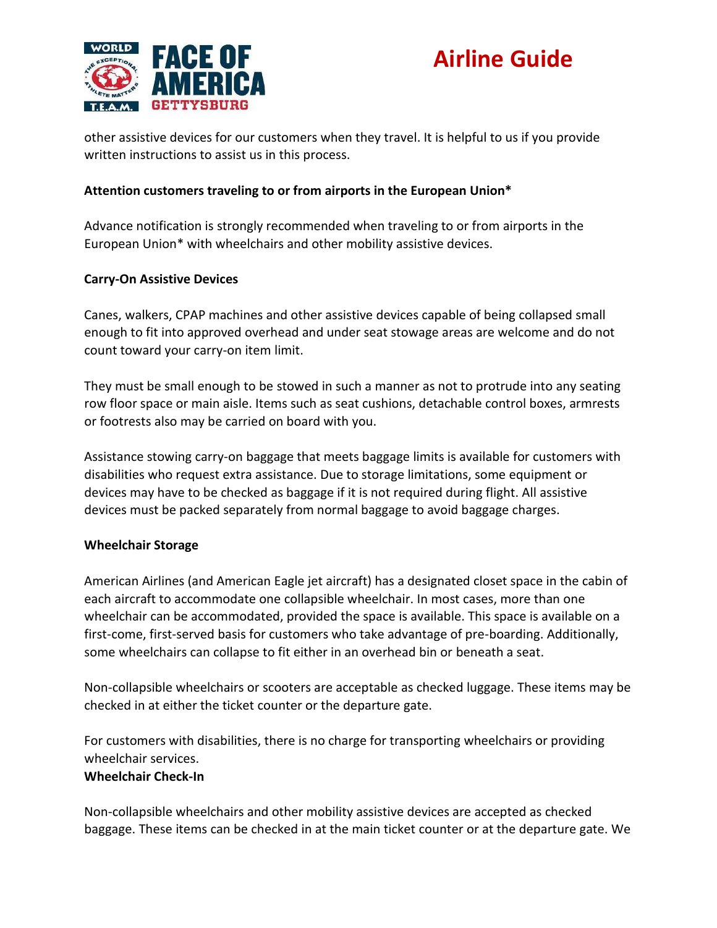

other assistive devices for our customers when they travel. It is helpful to us if you provide written instructions to assist us in this process.

### **Attention customers traveling to or from airports in the European Union\***

Advance notification is strongly recommended when traveling to or from airports in the European Union\* with wheelchairs and other mobility assistive devices.

#### **Carry-On Assistive Devices**

Canes, walkers, CPAP machines and other assistive devices capable of being collapsed small enough to fit into approved overhead and under seat stowage areas are welcome and do not count toward your carry-on item limit.

They must be small enough to be stowed in such a manner as not to protrude into any seating row floor space or main aisle. Items such as seat cushions, detachable control boxes, armrests or footrests also may be carried on board with you.

Assistance stowing carry-on baggage that meets baggage limits is available for customers with disabilities who request extra assistance. Due to storage limitations, some equipment or devices may have to be checked as baggage if it is not required during flight. All assistive devices must be packed separately from normal baggage to avoid baggage charges.

### **Wheelchair Storage**

American Airlines (and American Eagle jet aircraft) has a designated closet space in the cabin of each aircraft to accommodate one collapsible wheelchair. In most cases, more than one wheelchair can be accommodated, provided the space is available. This space is available on a first-come, first-served basis for customers who take advantage of pre-boarding. Additionally, some wheelchairs can collapse to fit either in an overhead bin or beneath a seat.

Non-collapsible wheelchairs or scooters are acceptable as checked luggage. These items may be checked in at either the ticket counter or the departure gate.

For customers with disabilities, there is no charge for transporting wheelchairs or providing wheelchair services.

#### **Wheelchair Check-In**

Non-collapsible wheelchairs and other mobility assistive devices are accepted as checked baggage. These items can be checked in at the main ticket counter or at the departure gate. We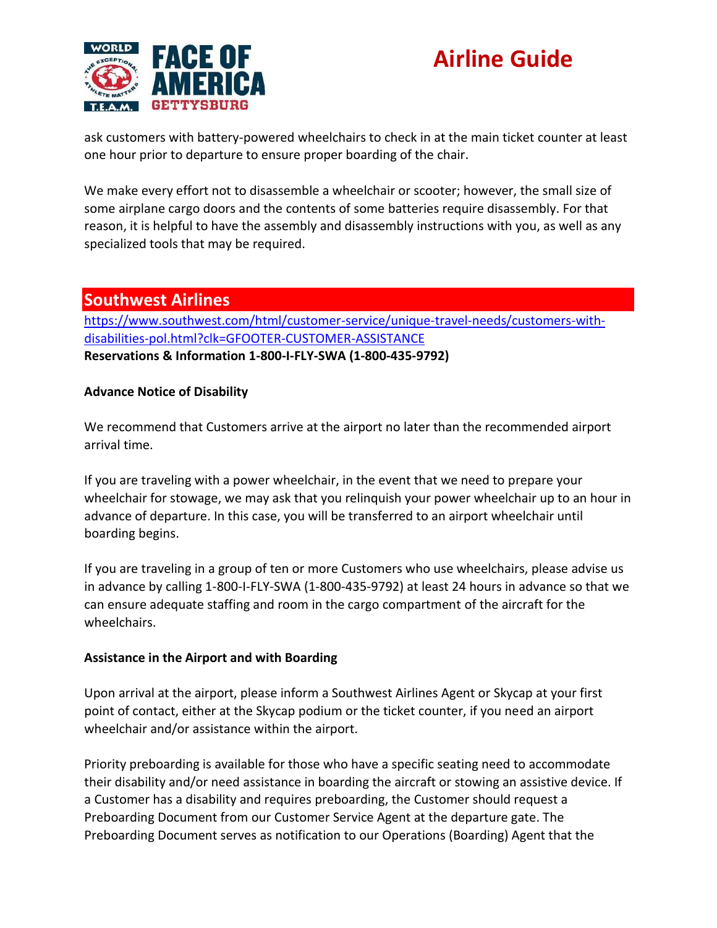

ask customers with battery-powered wheelchairs to check in at the main ticket counter at least one hour prior to departure to ensure proper boarding of the chair.

We make every effort not to disassemble a wheelchair or scooter; however, the small size of some airplane cargo doors and the contents of some batteries require disassembly. For that reason, it is helpful to have the assembly and disassembly instructions with you, as well as any specialized tools that may be required.

### **Southwest Airlines**

[https://www.southwest.com/html/customer-service/unique-travel-needs/customers-with](https://www.southwest.com/html/customer-service/unique-travel-needs/customers-with-disabilities-pol.html?clk=GFOOTER-CUSTOMER-ASSISTANCE)[disabilities-pol.html?clk=GFOOTER-CUSTOMER-ASSISTANCE](https://www.southwest.com/html/customer-service/unique-travel-needs/customers-with-disabilities-pol.html?clk=GFOOTER-CUSTOMER-ASSISTANCE) **Reservations & Information 1-800-I-FLY-SWA (1-800-435-9792)**

### **Advance Notice of Disability**

We recommend that Customers arrive at the airport no later than the recommended airport arrival time.

If you are traveling with a power wheelchair, in the event that we need to prepare your wheelchair for stowage, we may ask that you relinquish your power wheelchair up to an hour in advance of departure. In this case, you will be transferred to an airport wheelchair until boarding begins.

If you are traveling in a group of ten or more Customers who use wheelchairs, please advise us in advance by calling 1-800-I-FLY-SWA (1-800-435-9792) at least 24 hours in advance so that we can ensure adequate staffing and room in the cargo compartment of the aircraft for the wheelchairs.

### **Assistance in the Airport and with Boarding**

Upon arrival at the airport, please inform a Southwest Airlines Agent or Skycap at your first point of contact, either at the Skycap podium or the ticket counter, if you need an airport wheelchair and/or assistance within the airport.

Priority preboarding is available for those who have a specific seating need to accommodate their disability and/or need assistance in boarding the aircraft or stowing an assistive device. If a Customer has a disability and requires preboarding, the Customer should request a Preboarding Document from our Customer Service Agent at the departure gate. The Preboarding Document serves as notification to our Operations (Boarding) Agent that the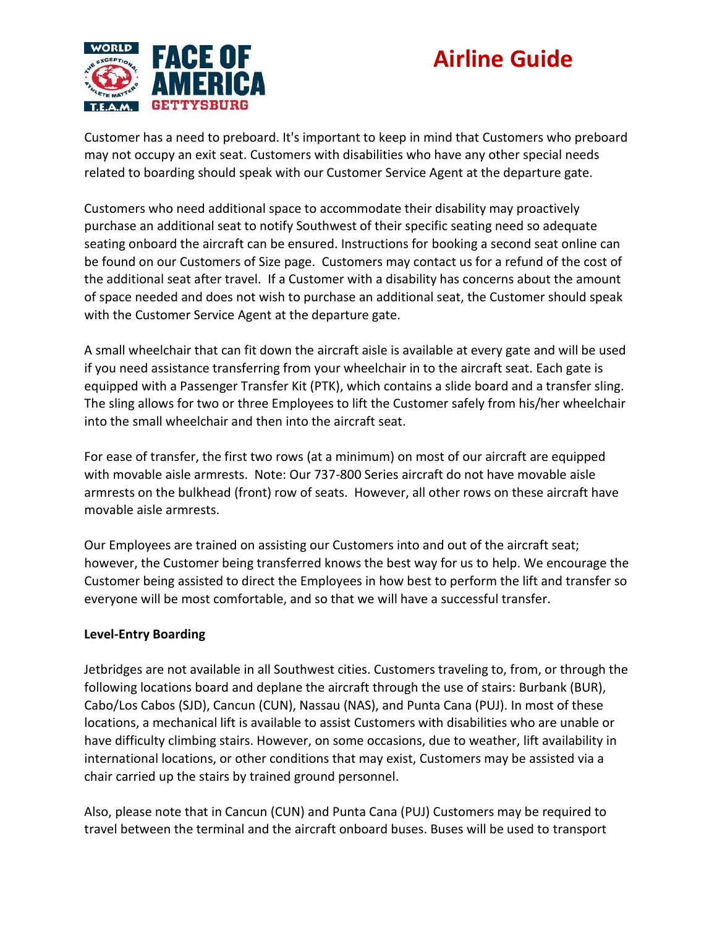

Customer has a need to preboard. It's important to keep in mind that Customers who preboard may not occupy an exit seat. Customers with disabilities who have any other special needs related to boarding should speak with our Customer Service Agent at the departure gate.

Customers who need additional space to accommodate their disability may proactively purchase an additional seat to notify Southwest of their specific seating need so adequate seating onboard the aircraft can be ensured. Instructions for booking a second seat online can be found on our Customers of Size page. Customers may contact us for a refund of the cost of the additional seat after travel. If a Customer with a disability has concerns about the amount of space needed and does not wish to purchase an additional seat, the Customer should speak with the Customer Service Agent at the departure gate.

A small wheelchair that can fit down the aircraft aisle is available at every gate and will be used if you need assistance transferring from your wheelchair in to the aircraft seat. Each gate is equipped with a Passenger Transfer Kit (PTK), which contains a slide board and a transfer sling. The sling allows for two or three Employees to lift the Customer safely from his/her wheelchair into the small wheelchair and then into the aircraft seat.

For ease of transfer, the first two rows (at a minimum) on most of our aircraft are equipped with movable aisle armrests. Note: Our 737-800 Series aircraft do not have movable aisle armrests on the bulkhead (front) row of seats. However, all other rows on these aircraft have movable aisle armrests.

Our Employees are trained on assisting our Customers into and out of the aircraft seat; however, the Customer being transferred knows the best way for us to help. We encourage the Customer being assisted to direct the Employees in how best to perform the lift and transfer so everyone will be most comfortable, and so that we will have a successful transfer.

### **Level-Entry Boarding**

Jetbridges are not available in all Southwest cities. Customers traveling to, from, or through the following locations board and deplane the aircraft through the use of stairs: Burbank (BUR), Cabo/Los Cabos (SJD), Cancun (CUN), Nassau (NAS), and Punta Cana (PUJ). In most of these locations, a mechanical lift is available to assist Customers with disabilities who are unable or have difficulty climbing stairs. However, on some occasions, due to weather, lift availability in international locations, or other conditions that may exist, Customers may be assisted via a chair carried up the stairs by trained ground personnel.

Also, please note that in Cancun (CUN) and Punta Cana (PUJ) Customers may be required to travel between the terminal and the aircraft onboard buses. Buses will be used to transport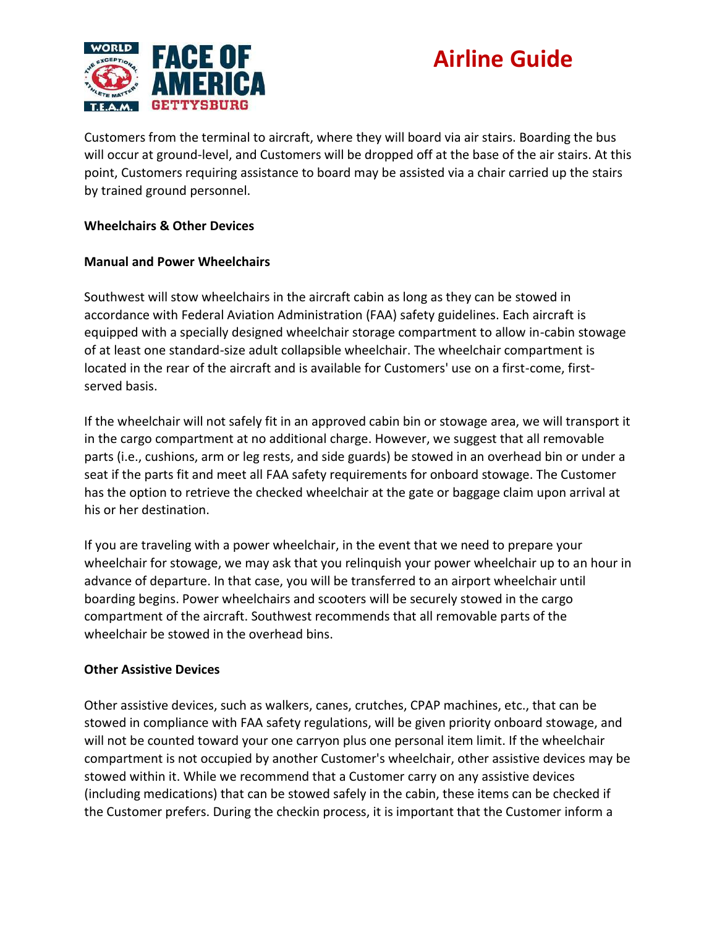

Customers from the terminal to aircraft, where they will board via air stairs. Boarding the bus will occur at ground-level, and Customers will be dropped off at the base of the air stairs. At this point, Customers requiring assistance to board may be assisted via a chair carried up the stairs by trained ground personnel.

#### **Wheelchairs & Other Devices**

#### **Manual and Power Wheelchairs**

Southwest will stow wheelchairs in the aircraft cabin as long as they can be stowed in accordance with Federal Aviation Administration (FAA) safety guidelines. Each aircraft is equipped with a specially designed wheelchair storage compartment to allow in-cabin stowage of at least one standard-size adult collapsible wheelchair. The wheelchair compartment is located in the rear of the aircraft and is available for Customers' use on a first-come, firstserved basis.

If the wheelchair will not safely fit in an approved cabin bin or stowage area, we will transport it in the cargo compartment at no additional charge. However, we suggest that all removable parts (i.e., cushions, arm or leg rests, and side guards) be stowed in an overhead bin or under a seat if the parts fit and meet all FAA safety requirements for onboard stowage. The Customer has the option to retrieve the checked wheelchair at the gate or baggage claim upon arrival at his or her destination.

If you are traveling with a power wheelchair, in the event that we need to prepare your wheelchair for stowage, we may ask that you relinquish your power wheelchair up to an hour in advance of departure. In that case, you will be transferred to an airport wheelchair until boarding begins. Power wheelchairs and scooters will be securely stowed in the cargo compartment of the aircraft. Southwest recommends that all removable parts of the wheelchair be stowed in the overhead bins.

#### **Other Assistive Devices**

Other assistive devices, such as walkers, canes, crutches, CPAP machines, etc., that can be stowed in compliance with FAA safety regulations, will be given priority onboard stowage, and will not be counted toward your one carryon plus one personal item limit. If the wheelchair compartment is not occupied by another Customer's wheelchair, other assistive devices may be stowed within it. While we recommend that a Customer carry on any assistive devices (including medications) that can be stowed safely in the cabin, these items can be checked if the Customer prefers. During the checkin process, it is important that the Customer inform a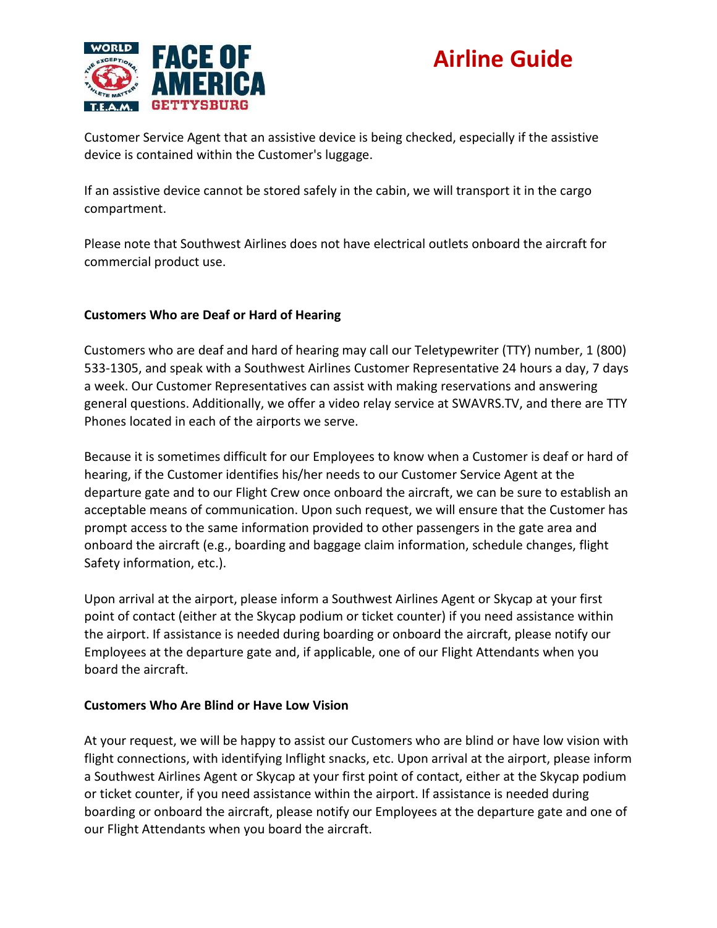

Customer Service Agent that an assistive device is being checked, especially if the assistive device is contained within the Customer's luggage.

If an assistive device cannot be stored safely in the cabin, we will transport it in the cargo compartment.

Please note that Southwest Airlines does not have electrical outlets onboard the aircraft for commercial product use.

### **Customers Who are Deaf or Hard of Hearing**

Customers who are deaf and hard of hearing may call our Teletypewriter (TTY) number, 1 (800) 533-1305, and speak with a Southwest Airlines Customer Representative 24 hours a day, 7 days a week. Our Customer Representatives can assist with making reservations and answering general questions. Additionally, we offer a video relay service at SWAVRS.TV, and there are TTY Phones located in each of the airports we serve.

Because it is sometimes difficult for our Employees to know when a Customer is deaf or hard of hearing, if the Customer identifies his/her needs to our Customer Service Agent at the departure gate and to our Flight Crew once onboard the aircraft, we can be sure to establish an acceptable means of communication. Upon such request, we will ensure that the Customer has prompt access to the same information provided to other passengers in the gate area and onboard the aircraft (e.g., boarding and baggage claim information, schedule changes, flight Safety information, etc.).

Upon arrival at the airport, please inform a Southwest Airlines Agent or Skycap at your first point of contact (either at the Skycap podium or ticket counter) if you need assistance within the airport. If assistance is needed during boarding or onboard the aircraft, please notify our Employees at the departure gate and, if applicable, one of our Flight Attendants when you board the aircraft.

### **Customers Who Are Blind or Have Low Vision**

At your request, we will be happy to assist our Customers who are blind or have low vision with flight connections, with identifying Inflight snacks, etc. Upon arrival at the airport, please inform a Southwest Airlines Agent or Skycap at your first point of contact, either at the Skycap podium or ticket counter, if you need assistance within the airport. If assistance is needed during boarding or onboard the aircraft, please notify our Employees at the departure gate and one of our Flight Attendants when you board the aircraft.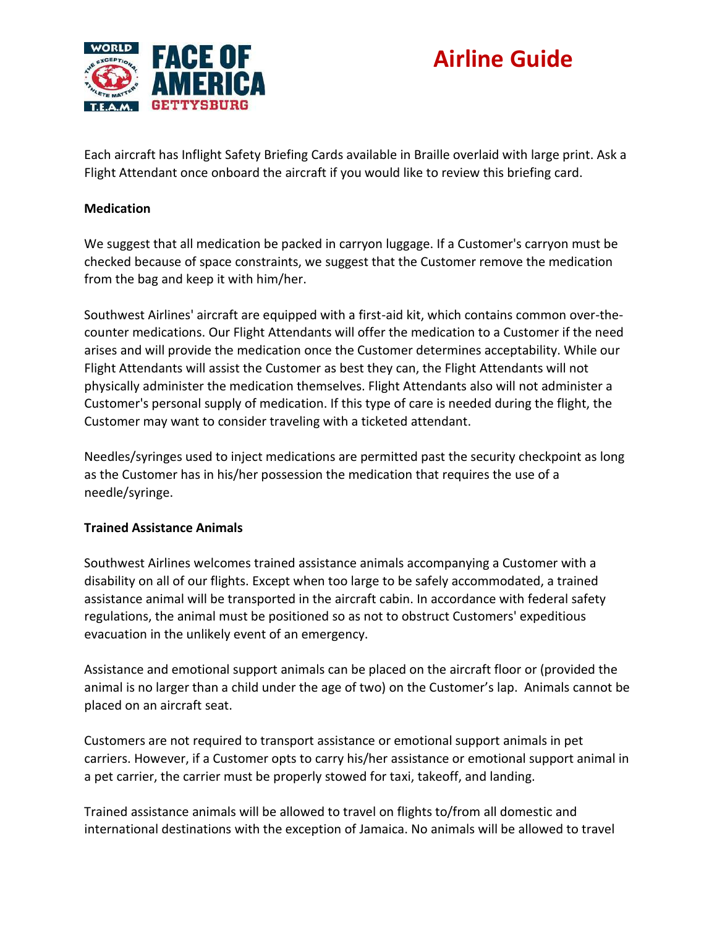

Each aircraft has Inflight Safety Briefing Cards available in Braille overlaid with large print. Ask a Flight Attendant once onboard the aircraft if you would like to review this briefing card.

#### **Medication**

We suggest that all medication be packed in carryon luggage. If a Customer's carryon must be checked because of space constraints, we suggest that the Customer remove the medication from the bag and keep it with him/her.

Southwest Airlines' aircraft are equipped with a first-aid kit, which contains common over-thecounter medications. Our Flight Attendants will offer the medication to a Customer if the need arises and will provide the medication once the Customer determines acceptability. While our Flight Attendants will assist the Customer as best they can, the Flight Attendants will not physically administer the medication themselves. Flight Attendants also will not administer a Customer's personal supply of medication. If this type of care is needed during the flight, the Customer may want to consider traveling with a ticketed attendant.

Needles/syringes used to inject medications are permitted past the security checkpoint as long as the Customer has in his/her possession the medication that requires the use of a needle/syringe.

#### **Trained Assistance Animals**

Southwest Airlines welcomes trained assistance animals accompanying a Customer with a disability on all of our flights. Except when too large to be safely accommodated, a trained assistance animal will be transported in the aircraft cabin. In accordance with federal safety regulations, the animal must be positioned so as not to obstruct Customers' expeditious evacuation in the unlikely event of an emergency.

Assistance and emotional support animals can be placed on the aircraft floor or (provided the animal is no larger than a child under the age of two) on the Customer's lap. Animals cannot be placed on an aircraft seat.

Customers are not required to transport assistance or emotional support animals in pet carriers. However, if a Customer opts to carry his/her assistance or emotional support animal in a pet carrier, the carrier must be properly stowed for taxi, takeoff, and landing.

Trained assistance animals will be allowed to travel on flights to/from all domestic and international destinations with the exception of Jamaica. No animals will be allowed to travel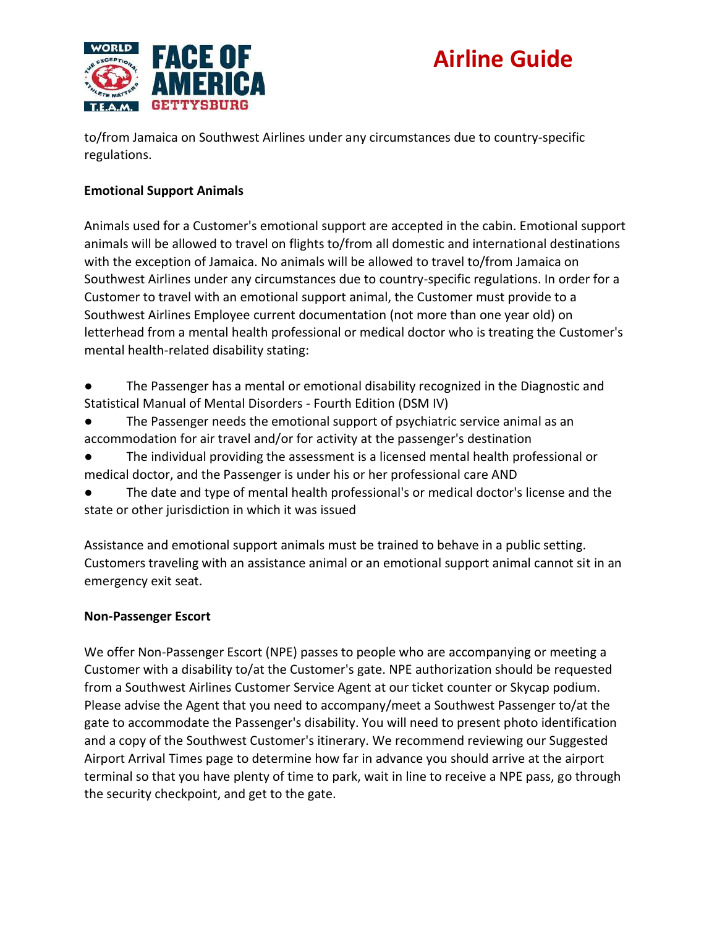

to/from Jamaica on Southwest Airlines under any circumstances due to country-specific regulations.

### **Emotional Support Animals**

Animals used for a Customer's emotional support are accepted in the cabin. Emotional support animals will be allowed to travel on flights to/from all domestic and international destinations with the exception of Jamaica. No animals will be allowed to travel to/from Jamaica on Southwest Airlines under any circumstances due to country-specific regulations. In order for a Customer to travel with an emotional support animal, the Customer must provide to a Southwest Airlines Employee current documentation (not more than one year old) on letterhead from a mental health professional or medical doctor who is treating the Customer's mental health-related disability stating:

- The Passenger has a mental or emotional disability recognized in the Diagnostic and Statistical Manual of Mental Disorders - Fourth Edition (DSM IV)
- The Passenger needs the emotional support of psychiatric service animal as an accommodation for air travel and/or for activity at the passenger's destination
- The individual providing the assessment is a licensed mental health professional or medical doctor, and the Passenger is under his or her professional care AND
- The date and type of mental health professional's or medical doctor's license and the state or other jurisdiction in which it was issued

Assistance and emotional support animals must be trained to behave in a public setting. Customers traveling with an assistance animal or an emotional support animal cannot sit in an emergency exit seat.

#### **Non-Passenger Escort**

We offer Non-Passenger Escort (NPE) passes to people who are accompanying or meeting a Customer with a disability to/at the Customer's gate. NPE authorization should be requested from a Southwest Airlines Customer Service Agent at our ticket counter or Skycap podium. Please advise the Agent that you need to accompany/meet a Southwest Passenger to/at the gate to accommodate the Passenger's disability. You will need to present photo identification and a copy of the Southwest Customer's itinerary. We recommend reviewing our Suggested Airport Arrival Times page to determine how far in advance you should arrive at the airport terminal so that you have plenty of time to park, wait in line to receive a NPE pass, go through the security checkpoint, and get to the gate.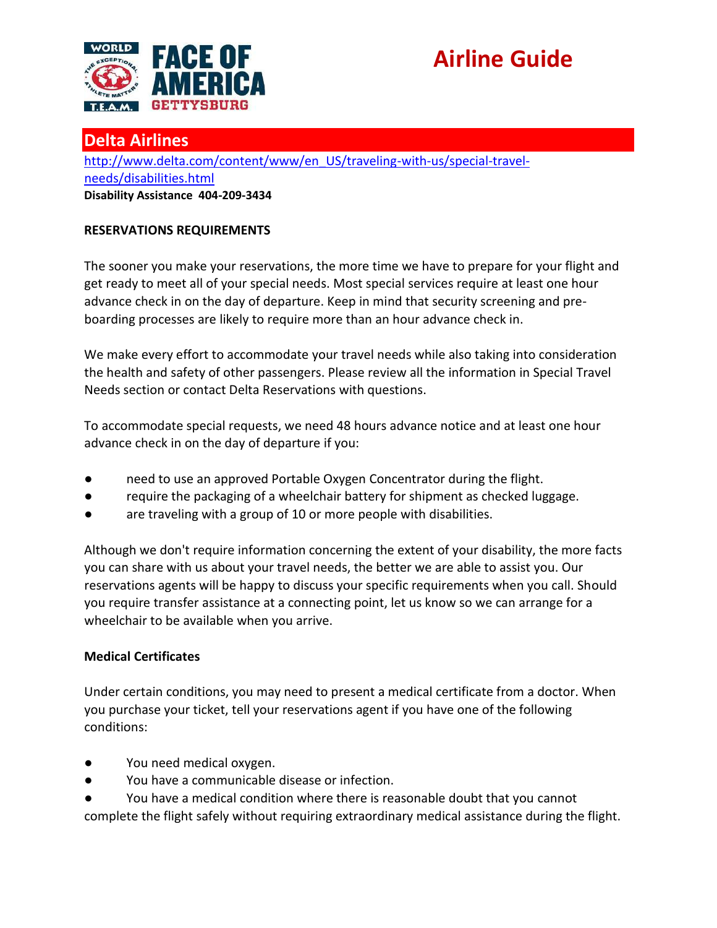

### **Delta Airlines**

[http://www.delta.com/content/www/en\\_US/traveling-with-us/special-travel](http://www.delta.com/content/www/en_US/traveling-with-us/special-travel-needs/disabilities.html)[needs/disabilities.html](http://www.delta.com/content/www/en_US/traveling-with-us/special-travel-needs/disabilities.html) **Disability Assistance 404-209-3434**

### **RESERVATIONS REQUIREMENTS**

The sooner you make your reservations, the more time we have to prepare for your flight and get ready to meet all of your special needs. Most special services require at least one hour advance check in on the day of departure. Keep in mind that security screening and preboarding processes are likely to require more than an hour advance check in.

We make every effort to accommodate your travel needs while also taking into consideration the health and safety of other passengers. Please review all the information in Special Travel Needs section or contact Delta Reservations with questions.

To accommodate special requests, we need 48 hours advance notice and at least one hour advance check in on the day of departure if you:

- need to use an approved Portable Oxygen Concentrator during the flight.
- require the packaging of a wheelchair battery for shipment as checked luggage.
- are traveling with a group of 10 or more people with disabilities.

Although we don't require information concerning the extent of your disability, the more facts you can share with us about your travel needs, the better we are able to assist you. Our reservations agents will be happy to discuss your specific requirements when you call. Should you require transfer assistance at a connecting point, let us know so we can arrange for a wheelchair to be available when you arrive.

### **Medical Certificates**

Under certain conditions, you may need to present a medical certificate from a doctor. When you purchase your ticket, tell your reservations agent if you have one of the following conditions:

- You need medical oxygen.
- You have a communicable disease or infection.
- You have a medical condition where there is reasonable doubt that you cannot complete the flight safely without requiring extraordinary medical assistance during the flight.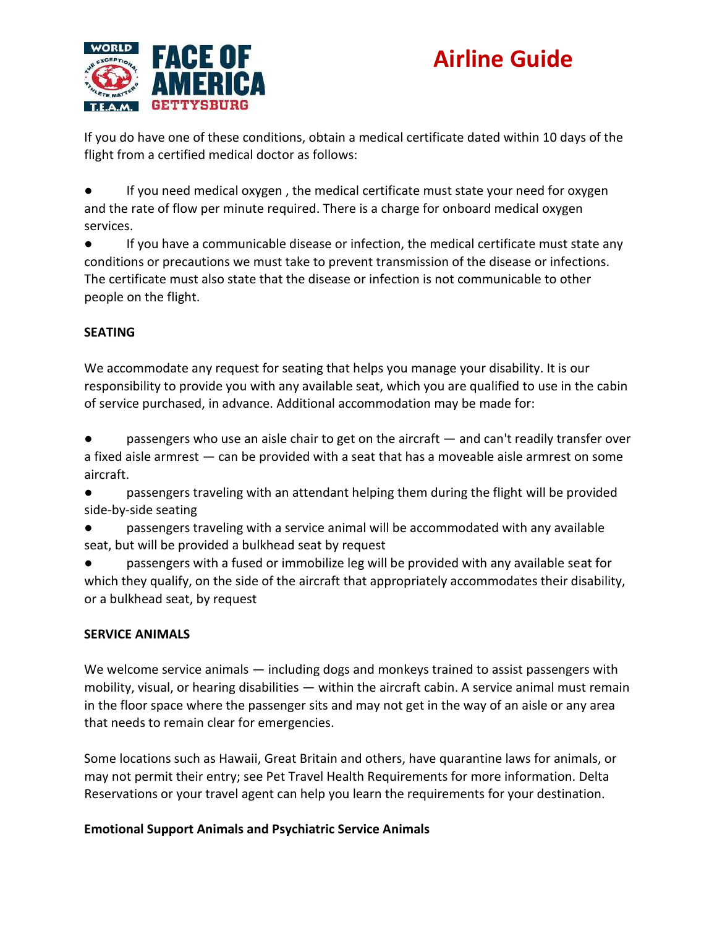

If you do have one of these conditions, obtain a medical certificate dated within 10 days of the flight from a certified medical doctor as follows:

If you need medical oxygen, the medical certificate must state your need for oxygen and the rate of flow per minute required. There is a charge for onboard medical oxygen services.

● If you have a communicable disease or infection, the medical certificate must state any conditions or precautions we must take to prevent transmission of the disease or infections. The certificate must also state that the disease or infection is not communicable to other people on the flight.

### **SEATING**

We accommodate any request for seating that helps you manage your disability. It is our responsibility to provide you with any available seat, which you are qualified to use in the cabin of service purchased, in advance. Additional accommodation may be made for:

passengers who use an aisle chair to get on the aircraft  $-$  and can't readily transfer over a fixed aisle armrest — can be provided with a seat that has a moveable aisle armrest on some aircraft.

● passengers traveling with an attendant helping them during the flight will be provided side-by-side seating

passengers traveling with a service animal will be accommodated with any available seat, but will be provided a bulkhead seat by request

passengers with a fused or immobilize leg will be provided with any available seat for which they qualify, on the side of the aircraft that appropriately accommodates their disability, or a bulkhead seat, by request

### **SERVICE ANIMALS**

We welcome service animals — including dogs and monkeys trained to assist passengers with mobility, visual, or hearing disabilities — within the aircraft cabin. A service animal must remain in the floor space where the passenger sits and may not get in the way of an aisle or any area that needs to remain clear for emergencies.

Some locations such as Hawaii, Great Britain and others, have quarantine laws for animals, or may not permit their entry; see Pet Travel Health Requirements for more information. Delta Reservations or your travel agent can help you learn the requirements for your destination.

### **Emotional Support Animals and Psychiatric Service Animals**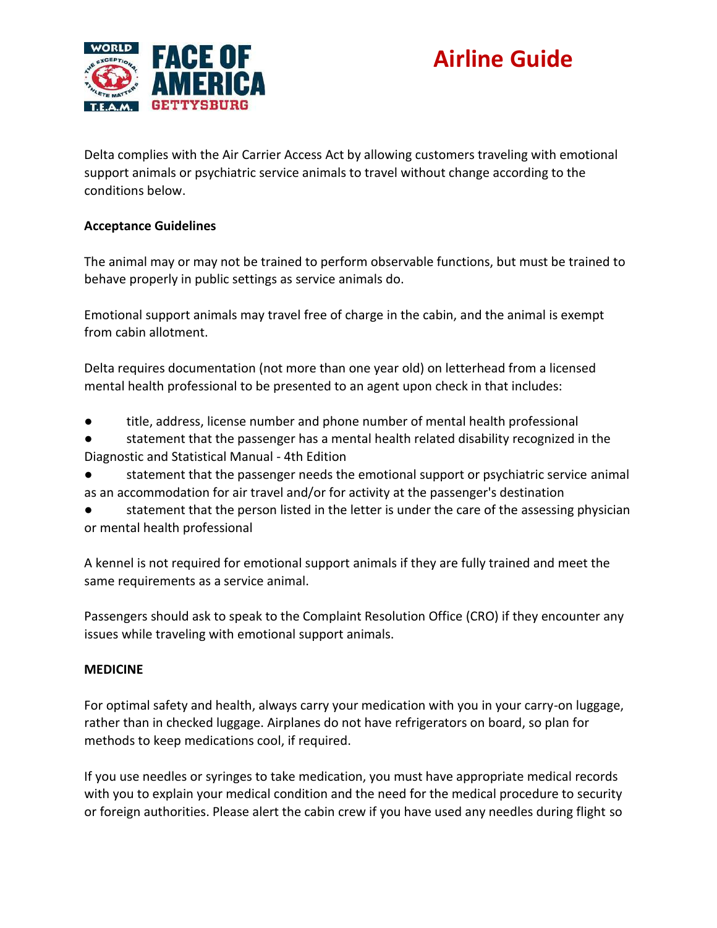

Delta complies with the Air Carrier Access Act by allowing customers traveling with emotional support animals or psychiatric service animals to travel without change according to the conditions below.

### **Acceptance Guidelines**

The animal may or may not be trained to perform observable functions, but must be trained to behave properly in public settings as service animals do.

Emotional support animals may travel free of charge in the cabin, and the animal is exempt from cabin allotment.

Delta requires documentation (not more than one year old) on letterhead from a licensed mental health professional to be presented to an agent upon check in that includes:

- title, address, license number and phone number of mental health professional
- statement that the passenger has a mental health related disability recognized in the Diagnostic and Statistical Manual - 4th Edition
- statement that the passenger needs the emotional support or psychiatric service animal as an accommodation for air travel and/or for activity at the passenger's destination
- statement that the person listed in the letter is under the care of the assessing physician or mental health professional

A kennel is not required for emotional support animals if they are fully trained and meet the same requirements as a service animal.

Passengers should ask to speak to the Complaint Resolution Office (CRO) if they encounter any issues while traveling with emotional support animals.

### **MEDICINE**

For optimal safety and health, always carry your medication with you in your carry-on luggage, rather than in checked luggage. Airplanes do not have refrigerators on board, so plan for methods to keep medications cool, if required.

If you use needles or syringes to take medication, you must have appropriate medical records with you to explain your medical condition and the need for the medical procedure to security or foreign authorities. Please alert the cabin crew if you have used any needles during flight so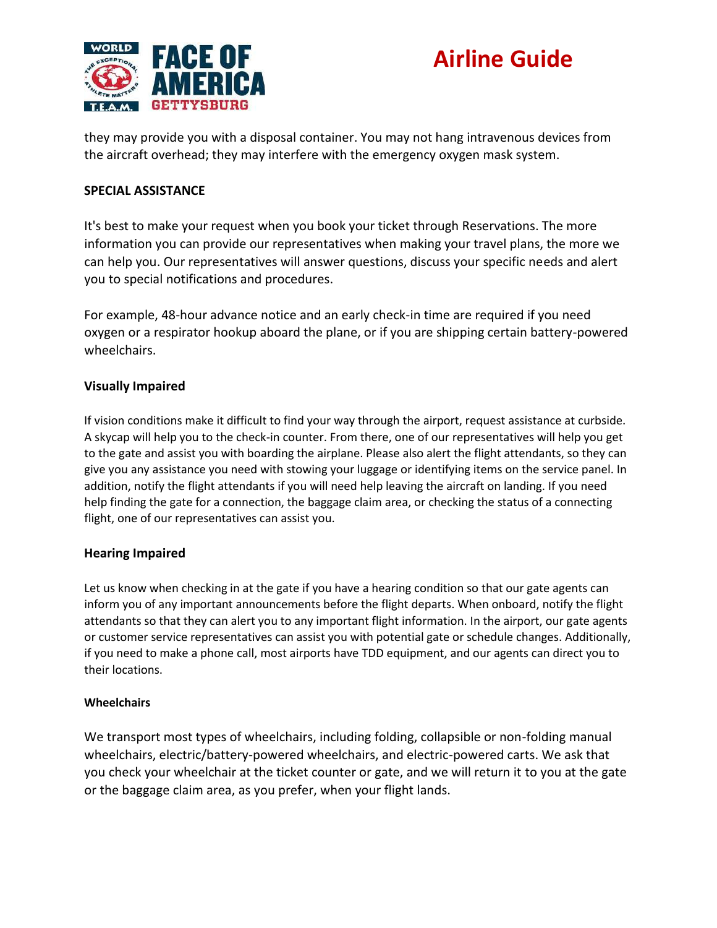

they may provide you with a disposal container. You may not hang intravenous devices from the aircraft overhead; they may interfere with the emergency oxygen mask system.

#### **SPECIAL ASSISTANCE**

It's best to make your request when you book your ticket through Reservations. The more information you can provide our representatives when making your travel plans, the more we can help you. Our representatives will answer questions, discuss your specific needs and alert you to special notifications and procedures.

For example, 48-hour advance notice and an early check-in time are required if you need oxygen or a respirator hookup aboard the plane, or if you are shipping certain battery-powered wheelchairs.

#### **Visually Impaired**

If vision conditions make it difficult to find your way through the airport, request assistance at curbside. A skycap will help you to the check-in counter. From there, one of our representatives will help you get to the gate and assist you with boarding the airplane. Please also alert the flight attendants, so they can give you any assistance you need with stowing your luggage or identifying items on the service panel. In addition, notify the flight attendants if you will need help leaving the aircraft on landing. If you need help finding the gate for a connection, the baggage claim area, or checking the status of a connecting flight, one of our representatives can assist you.

#### **Hearing Impaired**

Let us know when checking in at the gate if you have a hearing condition so that our gate agents can inform you of any important announcements before the flight departs. When onboard, notify the flight attendants so that they can alert you to any important flight information. In the airport, our gate agents or customer service representatives can assist you with potential gate or schedule changes. Additionally, if you need to make a phone call, most airports have TDD equipment, and our agents can direct you to their locations.

#### **Wheelchairs**

We transport most types of wheelchairs, including folding, collapsible or non-folding manual wheelchairs, electric/battery-powered wheelchairs, and electric-powered carts. We ask that you check your wheelchair at the ticket counter or gate, and we will return it to you at the gate or the baggage claim area, as you prefer, when your flight lands.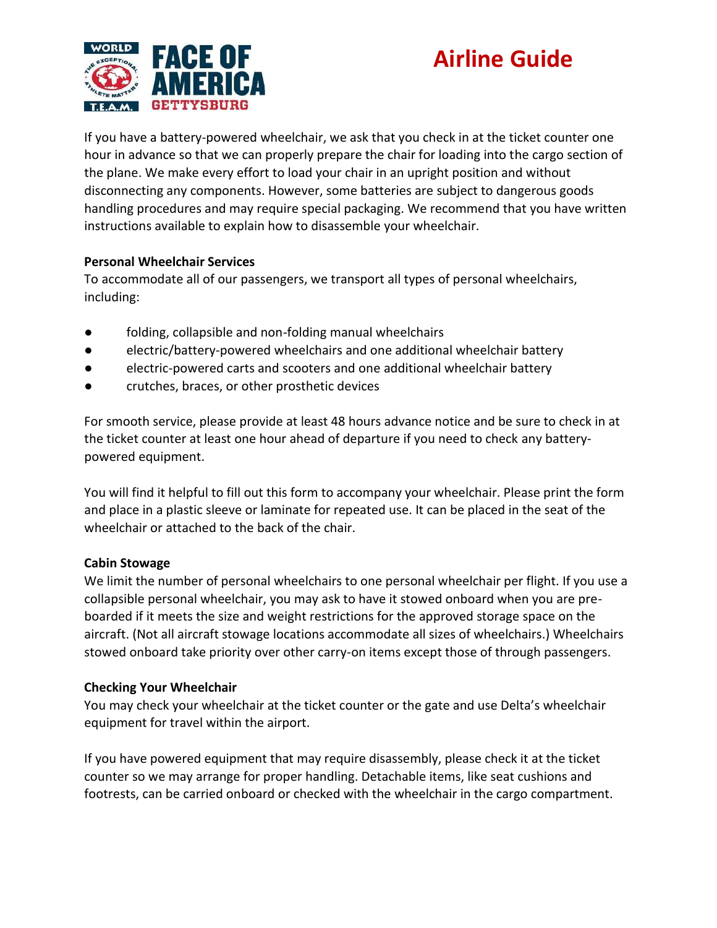

If you have a battery-powered wheelchair, we ask that you check in at the ticket counter one hour in advance so that we can properly prepare the chair for loading into the cargo section of the plane. We make every effort to load your chair in an upright position and without disconnecting any components. However, some batteries are subject to dangerous goods handling procedures and may require special packaging. We recommend that you have written instructions available to explain how to disassemble your wheelchair.

#### **Personal Wheelchair Services**

To accommodate all of our passengers, we transport all types of personal wheelchairs, including:

- folding, collapsible and non-folding manual wheelchairs
- electric/battery-powered wheelchairs and one additional wheelchair battery
- electric-powered carts and scooters and one additional wheelchair battery
- crutches, braces, or other prosthetic devices

For smooth service, please provide at least 48 hours advance notice and be sure to check in at the ticket counter at least one hour ahead of departure if you need to check any batterypowered equipment.

You will find it helpful to fill out this form to accompany your wheelchair. Please print the form and place in a plastic sleeve or laminate for repeated use. It can be placed in the seat of the wheelchair or attached to the back of the chair.

### **Cabin Stowage**

We limit the number of personal wheelchairs to one personal wheelchair per flight. If you use a collapsible personal wheelchair, you may ask to have it stowed onboard when you are preboarded if it meets the size and weight restrictions for the approved storage space on the aircraft. (Not all aircraft stowage locations accommodate all sizes of wheelchairs.) Wheelchairs stowed onboard take priority over other carry-on items except those of through passengers.

### **Checking Your Wheelchair**

You may check your wheelchair at the ticket counter or the gate and use Delta's wheelchair equipment for travel within the airport.

If you have powered equipment that may require disassembly, please check it at the ticket counter so we may arrange for proper handling. Detachable items, like seat cushions and footrests, can be carried onboard or checked with the wheelchair in the cargo compartment.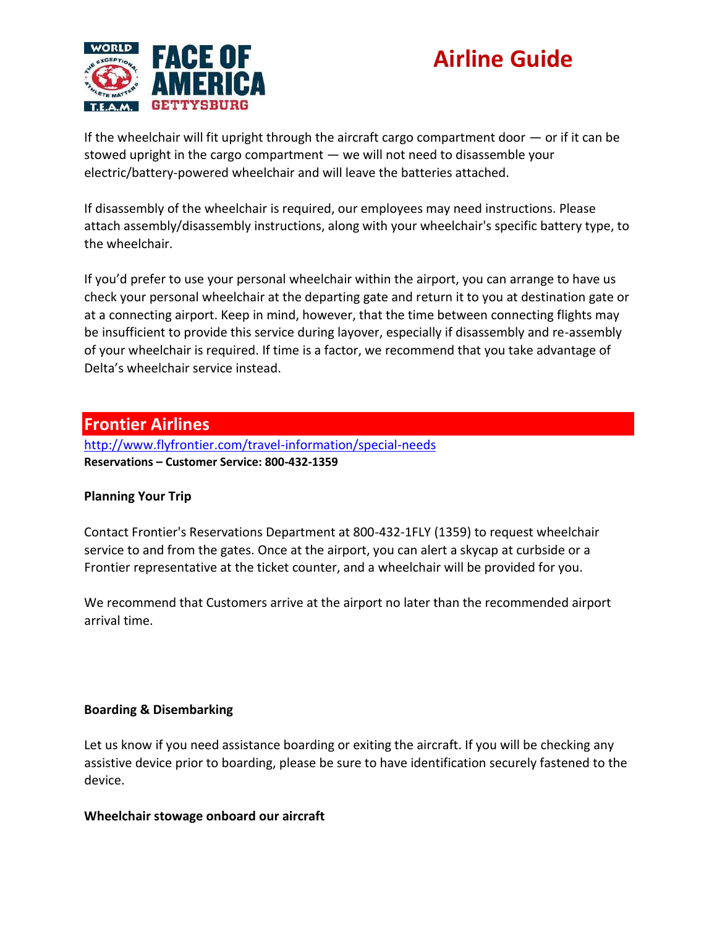

If the wheelchair will fit upright through the aircraft cargo compartment door  $-$  or if it can be stowed upright in the cargo compartment — we will not need to disassemble your electric/battery-powered wheelchair and will leave the batteries attached.

If disassembly of the wheelchair is required, our employees may need instructions. Please attach assembly/disassembly instructions, along with your wheelchair's specific battery type, to the wheelchair.

If you'd prefer to use your personal wheelchair within the airport, you can arrange to have us check your personal wheelchair at the departing gate and return it to you at destination gate or at a connecting airport. Keep in mind, however, that the time between connecting flights may be insufficient to provide this service during layover, especially if disassembly and re-assembly of your wheelchair is required. If time is a factor, we recommend that you take advantage of Delta's wheelchair service instead.

### **Frontier Airlines**

<http://www.flyfrontier.com/travel-information/special-needs> **Reservations – Customer Service: 800-432-1359**

### **Planning Your Trip**

Contact Frontier's Reservations Department at 800-432-1FLY (1359) to request wheelchair service to and from the gates. Once at the airport, you can alert a skycap at curbside or a Frontier representative at the ticket counter, and a wheelchair will be provided for you.

We recommend that Customers arrive at the airport no later than the recommended airport arrival time.

### **Boarding & Disembarking**

Let us know if you need assistance boarding or exiting the aircraft. If you will be checking any assistive device prior to boarding, please be sure to have identification securely fastened to the device.

#### **Wheelchair stowage onboard our aircraft**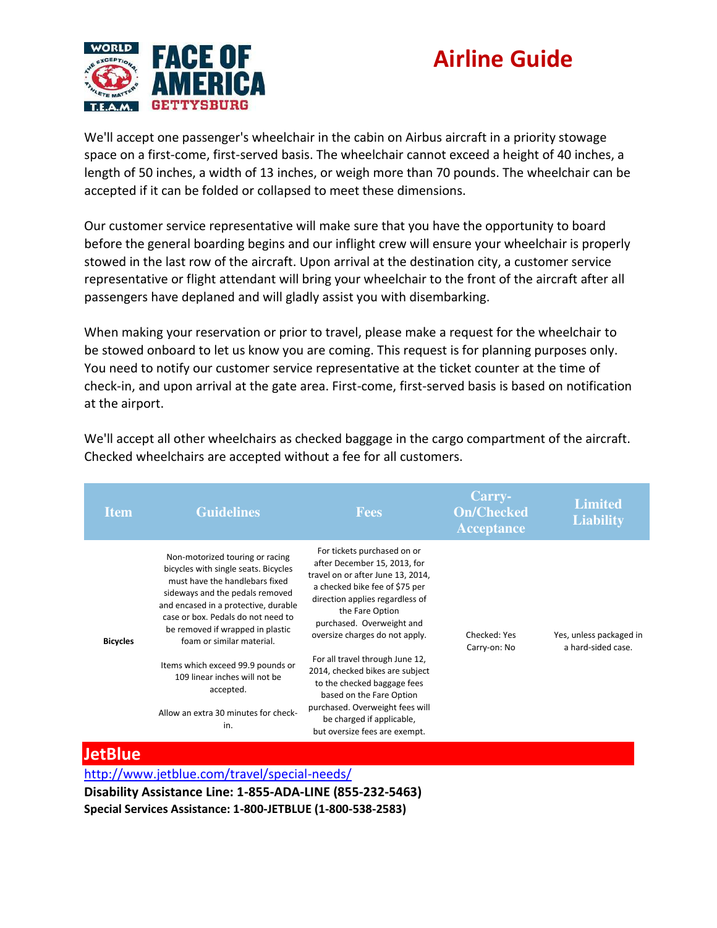

We'll accept one passenger's wheelchair in the cabin on Airbus aircraft in a priority stowage space on a first-come, first-served basis. The wheelchair cannot exceed a height of 40 inches, a length of 50 inches, a width of 13 inches, or weigh more than 70 pounds. The wheelchair can be accepted if it can be folded or collapsed to meet these dimensions.

Our customer service representative will make sure that you have the opportunity to board before the general boarding begins and our inflight crew will ensure your wheelchair is properly stowed in the last row of the aircraft. Upon arrival at the destination city, a customer service representative or flight attendant will bring your wheelchair to the front of the aircraft after all passengers have deplaned and will gladly assist you with disembarking.

When making your reservation or prior to travel, please make a request for the wheelchair to be stowed onboard to let us know you are coming. This request is for planning purposes only. You need to notify our customer service representative at the ticket counter at the time of check-in, and upon arrival at the gate area. First-come, first-served basis is based on notification at the airport.

| <b>Item</b>     | <b>Guidelines</b>                                                                                                                                                                                                                                                                                                                                                                                                             | <b>Fees</b>                                                                                                                                                                                                                                                                                                                                                                                                                                                                               | Carry-<br><b>On/Checked</b><br><b>Acceptance</b> | <b>Limited</b><br><b>Liability</b>            |
|-----------------|-------------------------------------------------------------------------------------------------------------------------------------------------------------------------------------------------------------------------------------------------------------------------------------------------------------------------------------------------------------------------------------------------------------------------------|-------------------------------------------------------------------------------------------------------------------------------------------------------------------------------------------------------------------------------------------------------------------------------------------------------------------------------------------------------------------------------------------------------------------------------------------------------------------------------------------|--------------------------------------------------|-----------------------------------------------|
| <b>Bicycles</b> | Non-motorized touring or racing<br>bicycles with single seats. Bicycles<br>must have the handlebars fixed<br>sideways and the pedals removed<br>and encased in a protective, durable<br>case or box. Pedals do not need to<br>be removed if wrapped in plastic<br>foam or similar material.<br>Items which exceed 99.9 pounds or<br>109 linear inches will not be<br>accepted.<br>Allow an extra 30 minutes for check-<br>in. | For tickets purchased on or<br>after December 15, 2013, for<br>travel on or after June 13, 2014,<br>a checked bike fee of \$75 per<br>direction applies regardless of<br>the Fare Option<br>purchased. Overweight and<br>oversize charges do not apply.<br>For all travel through June 12,<br>2014, checked bikes are subject<br>to the checked baggage fees<br>based on the Fare Option<br>purchased. Overweight fees will<br>be charged if applicable,<br>but oversize fees are exempt. | Checked: Yes<br>Carry-on: No                     | Yes, unless packaged in<br>a hard-sided case. |

We'll accept all other wheelchairs as checked baggage in the cargo compartment of the aircraft. Checked wheelchairs are accepted without a fee for all customers.

### **JetBlue**

<http://www.jetblue.com/travel/special-needs/>

**Disability Assistance Line: 1-855-ADA-LINE (855-232-5463) Special Services Assistance: 1-800-JETBLUE (1-800-538-2583)**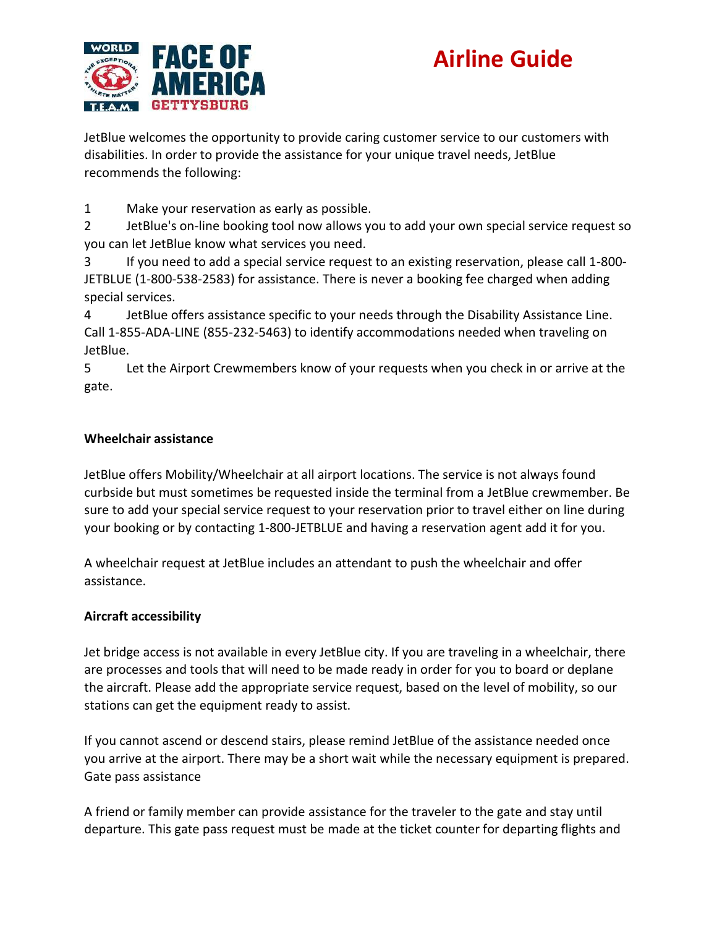

JetBlue welcomes the opportunity to provide caring customer service to our customers with disabilities. In order to provide the assistance for your unique travel needs, JetBlue recommends the following:

1 Make your reservation as early as possible.

2 JetBlue's on-line booking tool now allows you to add your own special service request so you can let JetBlue know what services you need.

3 If you need to add a special service request to an existing reservation, please call 1-800- JETBLUE (1-800-538-2583) for assistance. There is never a booking fee charged when adding special services.

4 JetBlue offers assistance specific to your needs through the Disability Assistance Line. Call 1-855-ADA-LINE (855-232-5463) to identify accommodations needed when traveling on JetBlue.

5 Let the Airport Crewmembers know of your requests when you check in or arrive at the gate.

### **Wheelchair assistance**

JetBlue offers Mobility/Wheelchair at all airport locations. The service is not always found curbside but must sometimes be requested inside the terminal from a JetBlue crewmember. Be sure to add your special service request to your reservation prior to travel either on line during your booking or by contacting 1-800-JETBLUE and having a reservation agent add it for you.

A wheelchair request at JetBlue includes an attendant to push the wheelchair and offer assistance.

### **Aircraft accessibility**

Jet bridge access is not available in every JetBlue city. If you are traveling in a wheelchair, there are processes and tools that will need to be made ready in order for you to board or deplane the aircraft. Please add the appropriate service request, based on the level of mobility, so our stations can get the equipment ready to assist.

If you cannot ascend or descend stairs, please remind JetBlue of the assistance needed once you arrive at the airport. There may be a short wait while the necessary equipment is prepared. Gate pass assistance

A friend or family member can provide assistance for the traveler to the gate and stay until departure. This gate pass request must be made at the ticket counter for departing flights and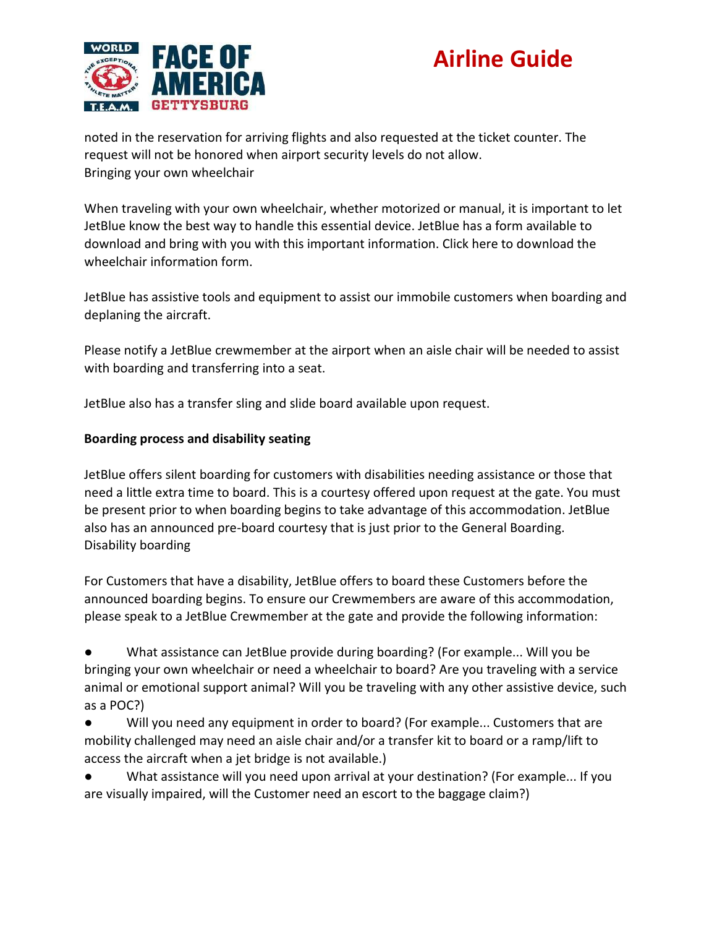



noted in the reservation for arriving flights and also requested at the ticket counter. The request will not be honored when airport security levels do not allow. Bringing your own wheelchair

When traveling with your own wheelchair, whether motorized or manual, it is important to let JetBlue know the best way to handle this essential device. JetBlue has a form available to download and bring with you with this important information. Click here to download the wheelchair information form.

JetBlue has assistive tools and equipment to assist our immobile customers when boarding and deplaning the aircraft.

Please notify a JetBlue crewmember at the airport when an aisle chair will be needed to assist with boarding and transferring into a seat.

JetBlue also has a transfer sling and slide board available upon request.

#### **Boarding process and disability seating**

JetBlue offers silent boarding for customers with disabilities needing assistance or those that need a little extra time to board. This is a courtesy offered upon request at the gate. You must be present prior to when boarding begins to take advantage of this accommodation. JetBlue also has an announced pre-board courtesy that is just prior to the General Boarding. Disability boarding

For Customers that have a disability, JetBlue offers to board these Customers before the announced boarding begins. To ensure our Crewmembers are aware of this accommodation, please speak to a JetBlue Crewmember at the gate and provide the following information:

● What assistance can JetBlue provide during boarding? (For example... Will you be bringing your own wheelchair or need a wheelchair to board? Are you traveling with a service animal or emotional support animal? Will you be traveling with any other assistive device, such as a POC?)

● Will you need any equipment in order to board? (For example... Customers that are mobility challenged may need an aisle chair and/or a transfer kit to board or a ramp/lift to access the aircraft when a jet bridge is not available.)

● What assistance will you need upon arrival at your destination? (For example... If you are visually impaired, will the Customer need an escort to the baggage claim?)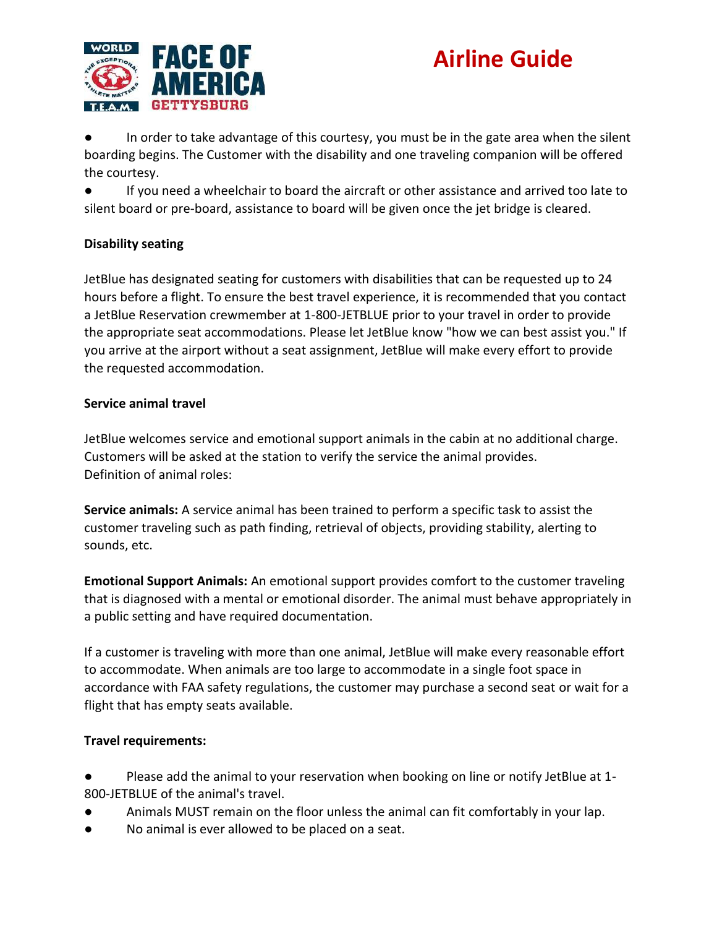

● In order to take advantage of this courtesy, you must be in the gate area when the silent boarding begins. The Customer with the disability and one traveling companion will be offered the courtesy.

If you need a wheelchair to board the aircraft or other assistance and arrived too late to silent board or pre-board, assistance to board will be given once the jet bridge is cleared.

### **Disability seating**

JetBlue has designated seating for customers with disabilities that can be requested up to 24 hours before a flight. To ensure the best travel experience, it is recommended that you contact a JetBlue Reservation crewmember at 1-800-JETBLUE prior to your travel in order to provide the appropriate seat accommodations. Please let JetBlue know "how we can best assist you." If you arrive at the airport without a seat assignment, JetBlue will make every effort to provide the requested accommodation.

### **Service animal travel**

JetBlue welcomes service and emotional support animals in the cabin at no additional charge. Customers will be asked at the station to verify the service the animal provides. Definition of animal roles:

**Service animals:** A service animal has been trained to perform a specific task to assist the customer traveling such as path finding, retrieval of objects, providing stability, alerting to sounds, etc.

**Emotional Support Animals:** An emotional support provides comfort to the customer traveling that is diagnosed with a mental or emotional disorder. The animal must behave appropriately in a public setting and have required documentation.

If a customer is traveling with more than one animal, JetBlue will make every reasonable effort to accommodate. When animals are too large to accommodate in a single foot space in accordance with FAA safety regulations, the customer may purchase a second seat or wait for a flight that has empty seats available.

### **Travel requirements:**

● Please add the animal to your reservation when booking on line or notify JetBlue at 1- 800-JETBLUE of the animal's travel.

- Animals MUST remain on the floor unless the animal can fit comfortably in your lap.
- No animal is ever allowed to be placed on a seat.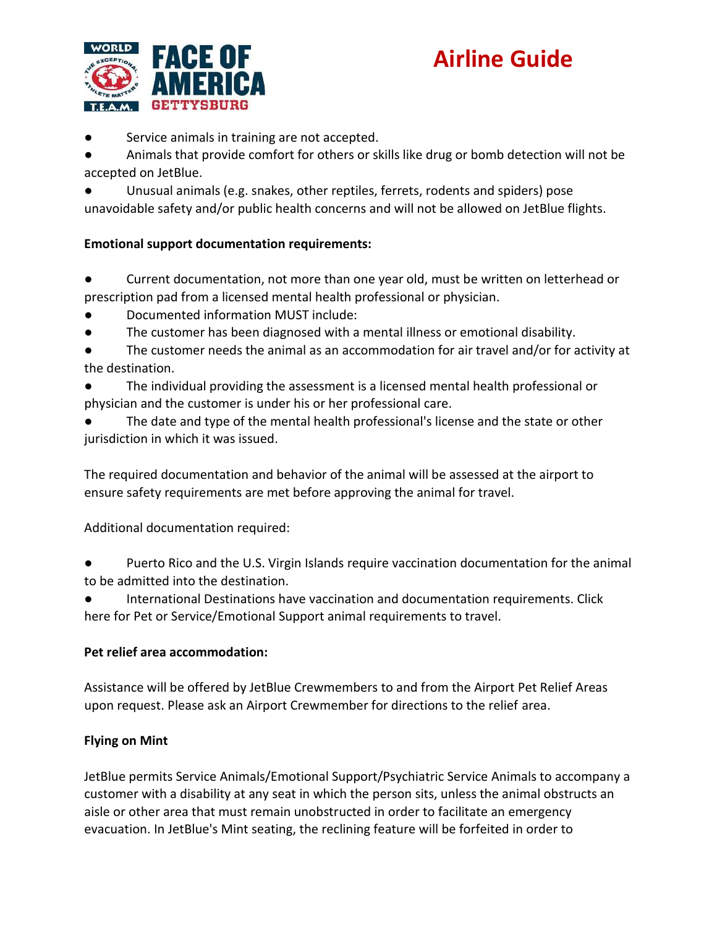

● Service animals in training are not accepted.

● Animals that provide comfort for others or skills like drug or bomb detection will not be accepted on JetBlue.

Unusual animals (e.g. snakes, other reptiles, ferrets, rodents and spiders) pose unavoidable safety and/or public health concerns and will not be allowed on JetBlue flights.

### **Emotional support documentation requirements:**

● Current documentation, not more than one year old, must be written on letterhead or prescription pad from a licensed mental health professional or physician.

- Documented information MUST include:
- The customer has been diagnosed with a mental illness or emotional disability.
- The customer needs the animal as an accommodation for air travel and/or for activity at the destination.
- The individual providing the assessment is a licensed mental health professional or physician and the customer is under his or her professional care.
- The date and type of the mental health professional's license and the state or other jurisdiction in which it was issued.

The required documentation and behavior of the animal will be assessed at the airport to ensure safety requirements are met before approving the animal for travel.

Additional documentation required:

Puerto Rico and the U.S. Virgin Islands require vaccination documentation for the animal to be admitted into the destination.

International Destinations have vaccination and documentation requirements. Click here for Pet or Service/Emotional Support animal requirements to travel.

### **Pet relief area accommodation:**

Assistance will be offered by JetBlue Crewmembers to and from the Airport Pet Relief Areas upon request. Please ask an Airport Crewmember for directions to the relief area.

### **Flying on Mint**

JetBlue permits Service Animals/Emotional Support/Psychiatric Service Animals to accompany a customer with a disability at any seat in which the person sits, unless the animal obstructs an aisle or other area that must remain unobstructed in order to facilitate an emergency evacuation. In JetBlue's Mint seating, the reclining feature will be forfeited in order to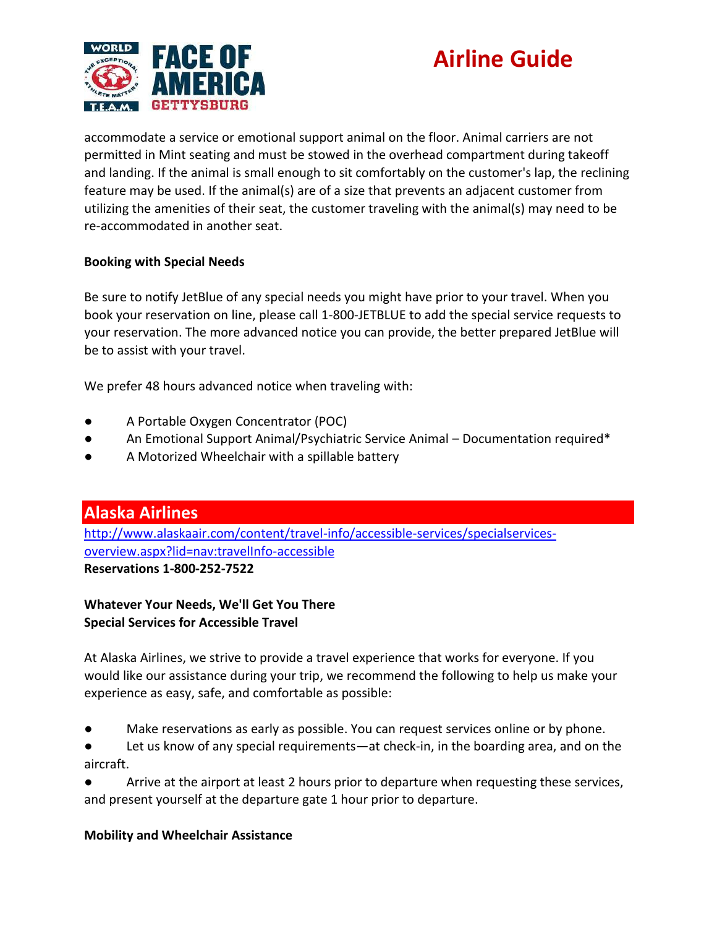



accommodate a service or emotional support animal on the floor. Animal carriers are not permitted in Mint seating and must be stowed in the overhead compartment during takeoff and landing. If the animal is small enough to sit comfortably on the customer's lap, the reclining feature may be used. If the animal(s) are of a size that prevents an adjacent customer from utilizing the amenities of their seat, the customer traveling with the animal(s) may need to be re-accommodated in another seat.

#### **Booking with Special Needs**

Be sure to notify JetBlue of any special needs you might have prior to your travel. When you book your reservation on line, please call 1-800-JETBLUE to add the special service requests to your reservation. The more advanced notice you can provide, the better prepared JetBlue will be to assist with your travel.

We prefer 48 hours advanced notice when traveling with:

- A Portable Oxygen Concentrator (POC)
- An Emotional Support Animal/Psychiatric Service Animal Documentation required\*
- A Motorized Wheelchair with a spillable battery

**Alaska Airlines** [http://www.alaskaair.com/content/travel-info/accessible-services/specialservices](http://www.alaskaair.com/content/travel-info/accessible-services/specialservices-overview.aspx?lid=nav:travelInfo-accessible)[overview.aspx?lid=nav:travelInfo-accessible](http://www.alaskaair.com/content/travel-info/accessible-services/specialservices-overview.aspx?lid=nav:travelInfo-accessible) **Reservations 1-800-252-7522**

**Whatever Your Needs, We'll Get You There Special Services for Accessible Travel**

At Alaska Airlines, we strive to provide a travel experience that works for everyone. If you would like our assistance during your trip, we recommend the following to help us make your experience as easy, safe, and comfortable as possible:

● Make reservations as early as possible. You can request services online or by phone.

● Let us know of any special requirements—at check-in, in the boarding area, and on the aircraft.

● Arrive at the airport at least 2 hours prior to departure when requesting these services, and present yourself at the departure gate 1 hour prior to departure.

#### **Mobility and Wheelchair Assistance**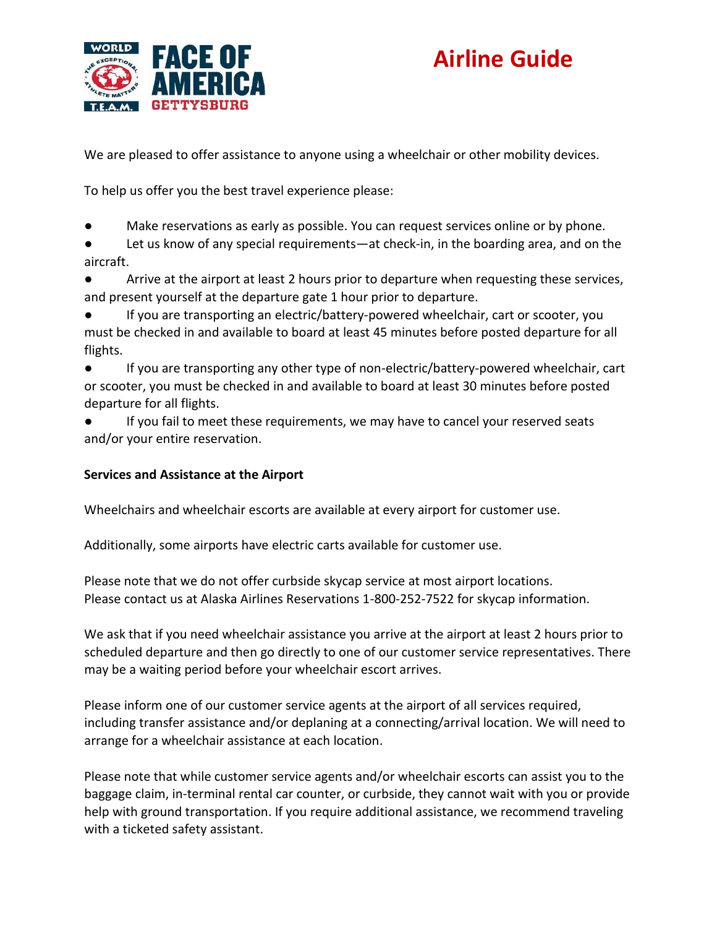



We are pleased to offer assistance to anyone using a wheelchair or other mobility devices.

To help us offer you the best travel experience please:

Make reservations as early as possible. You can request services online or by phone.

● Let us know of any special requirements—at check-in, in the boarding area, and on the aircraft.

● Arrive at the airport at least 2 hours prior to departure when requesting these services, and present yourself at the departure gate 1 hour prior to departure.

If you are transporting an electric/battery-powered wheelchair, cart or scooter, you must be checked in and available to board at least 45 minutes before posted departure for all flights.

● If you are transporting any other type of non-electric/battery-powered wheelchair, cart or scooter, you must be checked in and available to board at least 30 minutes before posted departure for all flights.

● If you fail to meet these requirements, we may have to cancel your reserved seats and/or your entire reservation.

#### **Services and Assistance at the Airport**

Wheelchairs and wheelchair escorts are available at every airport for customer use.

Additionally, some airports have electric carts available for customer use.

Please note that we do not offer curbside skycap service at most airport locations. Please contact us at Alaska Airlines Reservations 1-800-252-7522 for skycap information.

We ask that if you need wheelchair assistance you arrive at the airport at least 2 hours prior to scheduled departure and then go directly to one of our customer service representatives. There may be a waiting period before your wheelchair escort arrives.

Please inform one of our customer service agents at the airport of all services required, including transfer assistance and/or deplaning at a connecting/arrival location. We will need to arrange for a wheelchair assistance at each location.

Please note that while customer service agents and/or wheelchair escorts can assist you to the baggage claim, in-terminal rental car counter, or curbside, they cannot wait with you or provide help with ground transportation. If you require additional assistance, we recommend traveling with a ticketed safety assistant.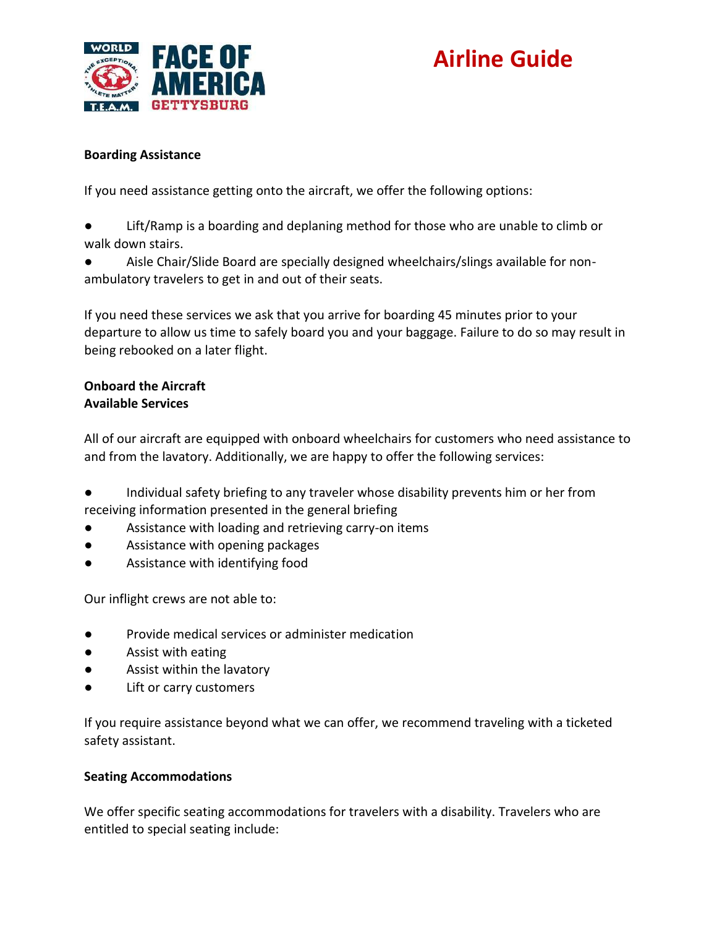

#### **Boarding Assistance**

If you need assistance getting onto the aircraft, we offer the following options:

- Lift/Ramp is a boarding and deplaning method for those who are unable to climb or walk down stairs.
- Aisle Chair/Slide Board are specially designed wheelchairs/slings available for nonambulatory travelers to get in and out of their seats.

If you need these services we ask that you arrive for boarding 45 minutes prior to your departure to allow us time to safely board you and your baggage. Failure to do so may result in being rebooked on a later flight.

#### **Onboard the Aircraft Available Services**

All of our aircraft are equipped with onboard wheelchairs for customers who need assistance to and from the lavatory. Additionally, we are happy to offer the following services:

Individual safety briefing to any traveler whose disability prevents him or her from receiving information presented in the general briefing

- Assistance with loading and retrieving carry-on items
- Assistance with opening packages
- Assistance with identifying food

Our inflight crews are not able to:

- Provide medical services or administer medication
- Assist with eating
- Assist within the lavatory
- Lift or carry customers

If you require assistance beyond what we can offer, we recommend traveling with a ticketed safety assistant.

### **Seating Accommodations**

We offer specific seating accommodations for travelers with a disability. Travelers who are entitled to special seating include: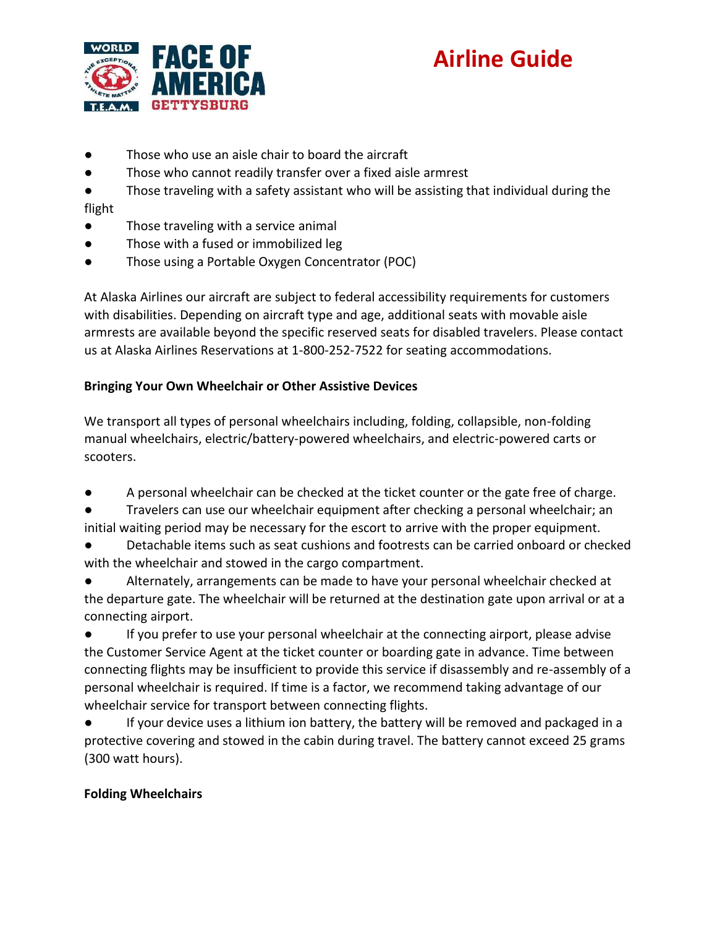

- Those who use an aisle chair to board the aircraft
- Those who cannot readily transfer over a fixed aisle armrest
- Those traveling with a safety assistant who will be assisting that individual during the flight
- Those traveling with a service animal
- Those with a fused or immobilized leg
- Those using a Portable Oxygen Concentrator (POC)

At Alaska Airlines our aircraft are subject to federal accessibility requirements for customers with disabilities. Depending on aircraft type and age, additional seats with movable aisle armrests are available beyond the specific reserved seats for disabled travelers. Please contact us at Alaska Airlines Reservations at 1-800-252-7522 for seating accommodations.

### **Bringing Your Own Wheelchair or Other Assistive Devices**

We transport all types of personal wheelchairs including, folding, collapsible, non-folding manual wheelchairs, electric/battery-powered wheelchairs, and electric-powered carts or scooters.

- A personal wheelchair can be checked at the ticket counter or the gate free of charge.
- Travelers can use our wheelchair equipment after checking a personal wheelchair; an initial waiting period may be necessary for the escort to arrive with the proper equipment.
- Detachable items such as seat cushions and footrests can be carried onboard or checked with the wheelchair and stowed in the cargo compartment.
- Alternately, arrangements can be made to have your personal wheelchair checked at the departure gate. The wheelchair will be returned at the destination gate upon arrival or at a connecting airport.
- If you prefer to use your personal wheelchair at the connecting airport, please advise the Customer Service Agent at the ticket counter or boarding gate in advance. Time between connecting flights may be insufficient to provide this service if disassembly and re-assembly of a personal wheelchair is required. If time is a factor, we recommend taking advantage of our wheelchair service for transport between connecting flights.
- If your device uses a lithium ion battery, the battery will be removed and packaged in a protective covering and stowed in the cabin during travel. The battery cannot exceed 25 grams (300 watt hours).

### **Folding Wheelchairs**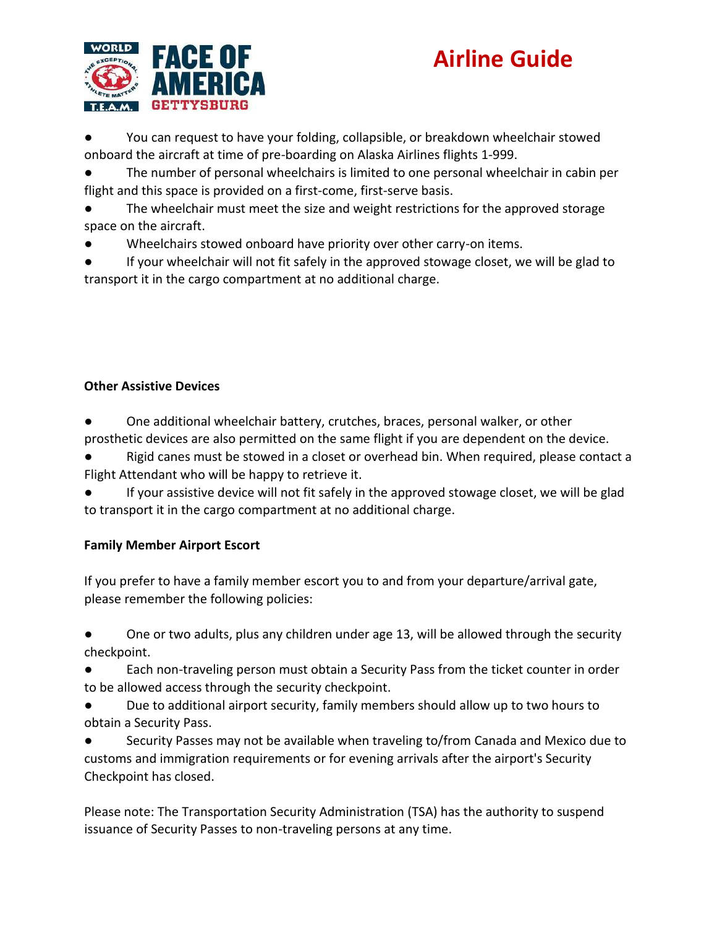

● You can request to have your folding, collapsible, or breakdown wheelchair stowed onboard the aircraft at time of pre-boarding on Alaska Airlines flights 1-999.

The number of personal wheelchairs is limited to one personal wheelchair in cabin per flight and this space is provided on a first-come, first-serve basis.

- The wheelchair must meet the size and weight restrictions for the approved storage space on the aircraft.
- Wheelchairs stowed onboard have priority over other carry-on items.

If your wheelchair will not fit safely in the approved stowage closet, we will be glad to transport it in the cargo compartment at no additional charge.

### **Other Assistive Devices**

One additional wheelchair battery, crutches, braces, personal walker, or other prosthetic devices are also permitted on the same flight if you are dependent on the device.

Rigid canes must be stowed in a closet or overhead bin. When required, please contact a Flight Attendant who will be happy to retrieve it.

If your assistive device will not fit safely in the approved stowage closet, we will be glad to transport it in the cargo compartment at no additional charge.

### **Family Member Airport Escort**

If you prefer to have a family member escort you to and from your departure/arrival gate, please remember the following policies:

One or two adults, plus any children under age 13, will be allowed through the security checkpoint.

Each non-traveling person must obtain a Security Pass from the ticket counter in order to be allowed access through the security checkpoint.

Due to additional airport security, family members should allow up to two hours to obtain a Security Pass.

Security Passes may not be available when traveling to/from Canada and Mexico due to customs and immigration requirements or for evening arrivals after the airport's Security Checkpoint has closed.

Please note: The Transportation Security Administration (TSA) has the authority to suspend issuance of Security Passes to non-traveling persons at any time.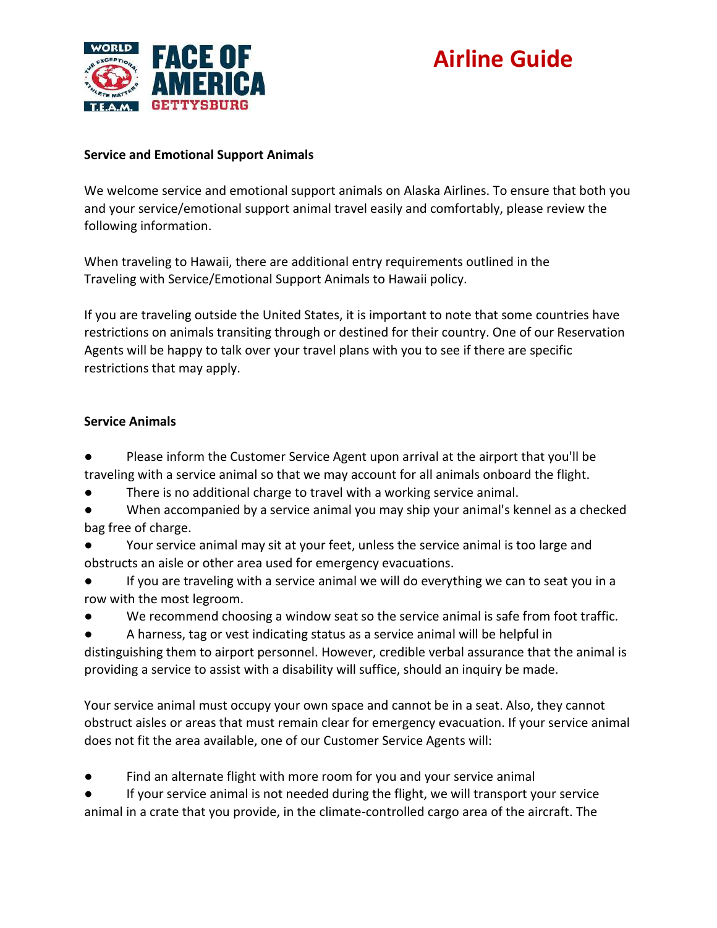

#### **Service and Emotional Support Animals**

We welcome service and emotional support animals on Alaska Airlines. To ensure that both you and your service/emotional support animal travel easily and comfortably, please review the following information.

When traveling to Hawaii, there are additional entry requirements outlined in the Traveling with Service/Emotional Support Animals to Hawaii policy.

If you are traveling outside the United States, it is important to note that some countries have restrictions on animals transiting through or destined for their country. One of our Reservation Agents will be happy to talk over your travel plans with you to see if there are specific restrictions that may apply.

#### **Service Animals**

- Please inform the Customer Service Agent upon arrival at the airport that you'll be traveling with a service animal so that we may account for all animals onboard the flight.
- There is no additional charge to travel with a working service animal.
- When accompanied by a service animal you may ship your animal's kennel as a checked bag free of charge.
- Your service animal may sit at your feet, unless the service animal is too large and obstructs an aisle or other area used for emergency evacuations.
- If you are traveling with a service animal we will do everything we can to seat you in a row with the most legroom.
- We recommend choosing a window seat so the service animal is safe from foot traffic.
- A harness, tag or vest indicating status as a service animal will be helpful in
- distinguishing them to airport personnel. However, credible verbal assurance that the animal is providing a service to assist with a disability will suffice, should an inquiry be made.

Your service animal must occupy your own space and cannot be in a seat. Also, they cannot obstruct aisles or areas that must remain clear for emergency evacuation. If your service animal does not fit the area available, one of our Customer Service Agents will:

- Find an alternate flight with more room for you and your service animal
- If your service animal is not needed during the flight, we will transport your service animal in a crate that you provide, in the climate-controlled cargo area of the aircraft. The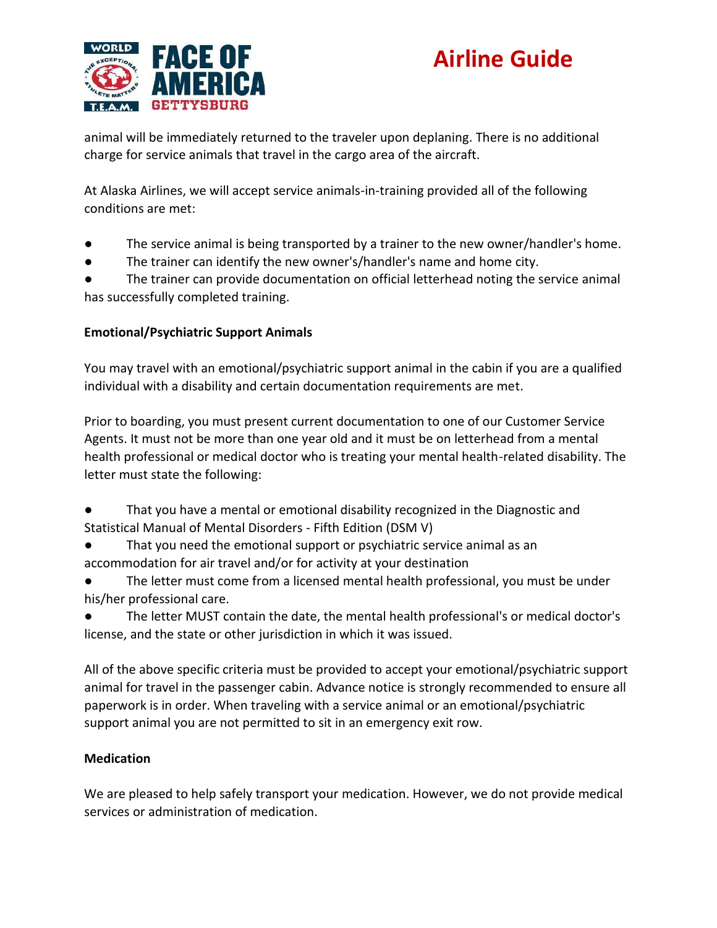

animal will be immediately returned to the traveler upon deplaning. There is no additional charge for service animals that travel in the cargo area of the aircraft.

At Alaska Airlines, we will accept service animals-in-training provided all of the following conditions are met:

- The service animal is being transported by a trainer to the new owner/handler's home.
- The trainer can identify the new owner's/handler's name and home city.

● The trainer can provide documentation on official letterhead noting the service animal has successfully completed training.

### **Emotional/Psychiatric Support Animals**

You may travel with an emotional/psychiatric support animal in the cabin if you are a qualified individual with a disability and certain documentation requirements are met.

Prior to boarding, you must present current documentation to one of our Customer Service Agents. It must not be more than one year old and it must be on letterhead from a mental health professional or medical doctor who is treating your mental health-related disability. The letter must state the following:

- That you have a mental or emotional disability recognized in the Diagnostic and Statistical Manual of Mental Disorders - Fifth Edition (DSM V)
- That you need the emotional support or psychiatric service animal as an accommodation for air travel and/or for activity at your destination
- The letter must come from a licensed mental health professional, you must be under his/her professional care.

● The letter MUST contain the date, the mental health professional's or medical doctor's license, and the state or other jurisdiction in which it was issued.

All of the above specific criteria must be provided to accept your emotional/psychiatric support animal for travel in the passenger cabin. Advance notice is strongly recommended to ensure all paperwork is in order. When traveling with a service animal or an emotional/psychiatric support animal you are not permitted to sit in an emergency exit row.

### **Medication**

We are pleased to help safely transport your medication. However, we do not provide medical services or administration of medication.